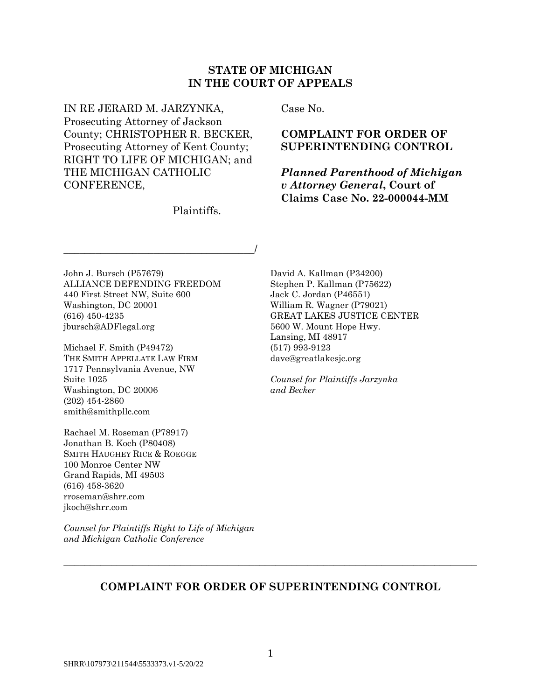# **STATE OF MICHIGAN IN THE COURT OF APPEALS**

IN RE JERARD M. JARZYNKA, Prosecuting Attorney of Jackson County; CHRISTOPHER R. BECKER, Prosecuting Attorney of Kent County; RIGHT TO LIFE OF MICHIGAN; and THE MICHIGAN CATHOLIC CONFERENCE,

\_\_\_\_\_\_\_\_\_\_\_\_\_\_\_\_\_\_\_\_\_\_\_\_\_\_\_\_\_\_\_\_\_\_\_\_/

Plaintiffs.

Case No.

## **COMPLAINT FOR ORDER OF SUPERINTENDING CONTROL**

*Planned Parenthood of Michigan v Attorney General***, Court of Claims Case No. 22-000044-MM**

John J. Bursch (P57679) ALLIANCE DEFENDING FREEDOM 440 First Street NW, Suite 600 Washington, DC 20001 (616) 450-4235 jbursch@ADFlegal.org

Michael F. Smith (P49472) THE SMITH APPELLATE LAW FIRM 1717 Pennsylvania Avenue, NW Suite 1025 Washington, DC 20006 (202) 454-2860 smith@smithpllc.com

Rachael M. Roseman (P78917) Jonathan B. Koch (P80408) SMITH HAUGHEY RICE & ROEGGE 100 Monroe Center NW Grand Rapids, MI 49503 (616) 458-3620 rroseman@shrr.com jkoch@shrr.com

*Counsel for Plaintiffs Right to Life of Michigan and Michigan Catholic Conference*

David A. Kallman (P34200) Stephen P. Kallman (P75622) Jack C. Jordan (P46551) William R. Wagner (P79021) GREAT LAKES JUSTICE CENTER 5600 W. Mount Hope Hwy. Lansing, MI 48917 (517) 993-9123 dave@greatlakesjc.org

*Counsel for Plaintiffs Jarzynka and Becker*

# **COMPLAINT FOR ORDER OF SUPERINTENDING CONTROL**

 $\_$  , and the set of the set of the set of the set of the set of the set of the set of the set of the set of the set of the set of the set of the set of the set of the set of the set of the set of the set of the set of th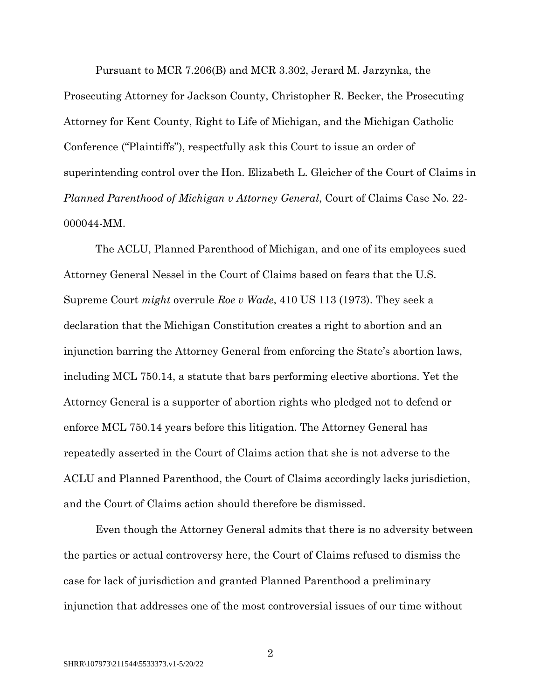Pursuant to MCR 7.206(B) and MCR 3.302, Jerard M. Jarzynka, the Prosecuting Attorney for Jackson County, Christopher R. Becker, the Prosecuting Attorney for Kent County, Right to Life of Michigan, and the Michigan Catholic Conference ("Plaintiffs"), respectfully ask this Court to issue an order of superintending control over the Hon. Elizabeth L. Gleicher of the Court of Claims in *Planned Parenthood of Michigan v Attorney General*, Court of Claims Case No. 22- 000044-MM.

The ACLU, Planned Parenthood of Michigan, and one of its employees sued Attorney General Nessel in the Court of Claims based on fears that the U.S. Supreme Court *might* overrule *Roe v Wade*, 410 US 113 (1973). They seek a declaration that the Michigan Constitution creates a right to abortion and an injunction barring the Attorney General from enforcing the State's abortion laws, including MCL 750.14, a statute that bars performing elective abortions. Yet the Attorney General is a supporter of abortion rights who pledged not to defend or enforce MCL 750.14 years before this litigation. The Attorney General has repeatedly asserted in the Court of Claims action that she is not adverse to the ACLU and Planned Parenthood, the Court of Claims accordingly lacks jurisdiction, and the Court of Claims action should therefore be dismissed.

Even though the Attorney General admits that there is no adversity between the parties or actual controversy here, the Court of Claims refused to dismiss the case for lack of jurisdiction and granted Planned Parenthood a preliminary injunction that addresses one of the most controversial issues of our time without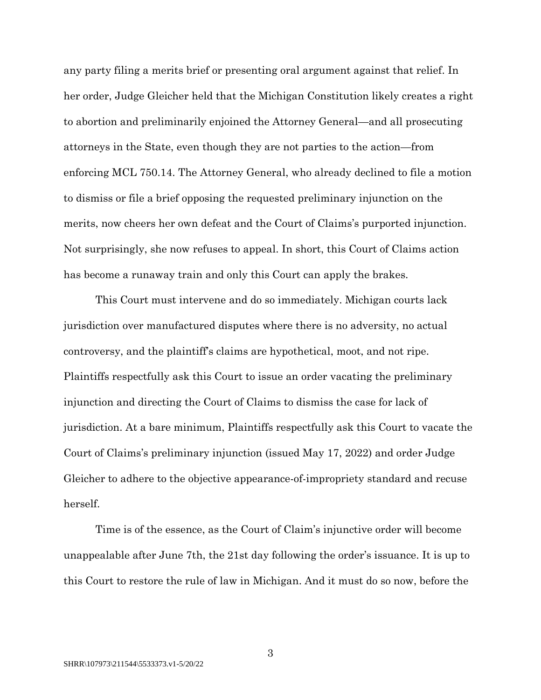any party filing a merits brief or presenting oral argument against that relief. In her order, Judge Gleicher held that the Michigan Constitution likely creates a right to abortion and preliminarily enjoined the Attorney General—and all prosecuting attorneys in the State, even though they are not parties to the action—from enforcing MCL 750.14. The Attorney General, who already declined to file a motion to dismiss or file a brief opposing the requested preliminary injunction on the merits, now cheers her own defeat and the Court of Claims's purported injunction. Not surprisingly, she now refuses to appeal. In short, this Court of Claims action has become a runaway train and only this Court can apply the brakes.

This Court must intervene and do so immediately. Michigan courts lack jurisdiction over manufactured disputes where there is no adversity, no actual controversy, and the plaintiff's claims are hypothetical, moot, and not ripe. Plaintiffs respectfully ask this Court to issue an order vacating the preliminary injunction and directing the Court of Claims to dismiss the case for lack of jurisdiction. At a bare minimum, Plaintiffs respectfully ask this Court to vacate the Court of Claims's preliminary injunction (issued May 17, 2022) and order Judge Gleicher to adhere to the objective appearance-of-impropriety standard and recuse herself.

Time is of the essence, as the Court of Claim's injunctive order will become unappealable after June 7th, the 21st day following the order's issuance. It is up to this Court to restore the rule of law in Michigan. And it must do so now, before the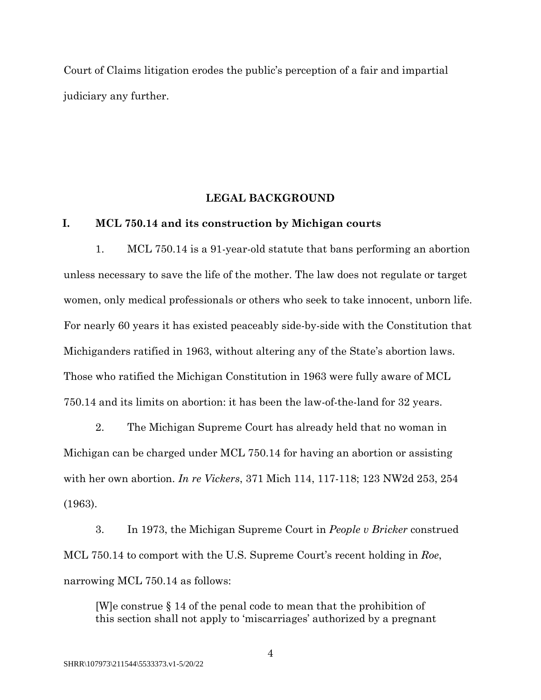Court of Claims litigation erodes the public's perception of a fair and impartial judiciary any further.

#### **LEGAL BACKGROUND**

## **I. MCL 750.14 and its construction by Michigan courts**

1. MCL 750.14 is a 91-year-old statute that bans performing an abortion unless necessary to save the life of the mother. The law does not regulate or target women, only medical professionals or others who seek to take innocent, unborn life. For nearly 60 years it has existed peaceably side-by-side with the Constitution that Michiganders ratified in 1963, without altering any of the State's abortion laws. Those who ratified the Michigan Constitution in 1963 were fully aware of MCL 750.14 and its limits on abortion: it has been the law-of-the-land for 32 years.

2. The Michigan Supreme Court has already held that no woman in Michigan can be charged under MCL 750.14 for having an abortion or assisting with her own abortion. *In re Vickers*, 371 Mich 114, 117-118; 123 NW2d 253, 254 (1963).

3. In 1973, the Michigan Supreme Court in *People v Bricker* construed MCL 750.14 to comport with the U.S. Supreme Court's recent holding in *Roe*, narrowing MCL 750.14 as follows:

[W]e construe § 14 of the penal code to mean that the prohibition of this section shall not apply to 'miscarriages' authorized by a pregnant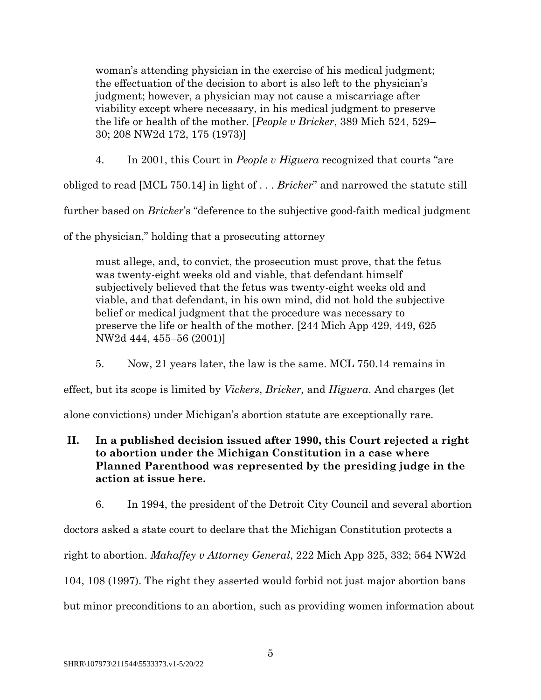woman's attending physician in the exercise of his medical judgment; the effectuation of the decision to abort is also left to the physician's judgment; however, a physician may not cause a miscarriage after viability except where necessary, in his medical judgment to preserve the life or health of the mother. [*People v Bricker*, 389 Mich 524, 529– 30; 208 NW2d 172, 175 (1973)]

4. In 2001, this Court in *People v Higuera* recognized that courts "are

obliged to read [MCL 750.14] in light of . . . *Bricker*" and narrowed the statute still

further based on *Bricker*'s "deference to the subjective good-faith medical judgment

of the physician," holding that a prosecuting attorney

must allege, and, to convict, the prosecution must prove, that the fetus was twenty-eight weeks old and viable, that defendant himself subjectively believed that the fetus was twenty-eight weeks old and viable, and that defendant, in his own mind, did not hold the subjective belief or medical judgment that the procedure was necessary to preserve the life or health of the mother. [244 Mich App 429, 449, 625 NW2d 444, 455–56 (2001)]

5. Now, 21 years later, the law is the same. MCL 750.14 remains in

effect, but its scope is limited by *Vickers*, *Bricker,* and *Higuera*. And charges (let

alone convictions) under Michigan's abortion statute are exceptionally rare.

- **II. In a published decision issued after 1990, this Court rejected a right to abortion under the Michigan Constitution in a case where Planned Parenthood was represented by the presiding judge in the action at issue here.**
	- 6. In 1994, the president of the Detroit City Council and several abortion

doctors asked a state court to declare that the Michigan Constitution protects a

right to abortion. *Mahaffey v Attorney General*, 222 Mich App 325, 332; 564 NW2d

104, 108 (1997). The right they asserted would forbid not just major abortion bans

but minor preconditions to an abortion, such as providing women information about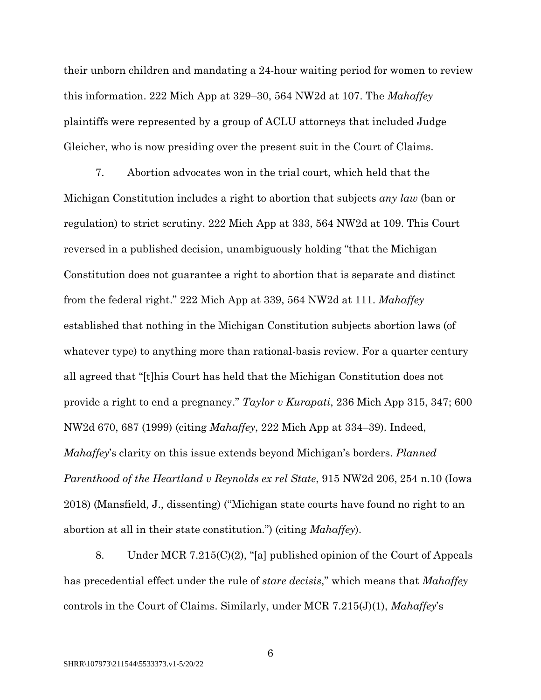their unborn children and mandating a 24-hour waiting period for women to review this information. 222 Mich App at 329–30, 564 NW2d at 107. The *Mahaffey* plaintiffs were represented by a group of ACLU attorneys that included Judge Gleicher, who is now presiding over the present suit in the Court of Claims.

7. Abortion advocates won in the trial court, which held that the Michigan Constitution includes a right to abortion that subjects *any law* (ban or regulation) to strict scrutiny. 222 Mich App at 333, 564 NW2d at 109. This Court reversed in a published decision, unambiguously holding "that the Michigan Constitution does not guarantee a right to abortion that is separate and distinct from the federal right." 222 Mich App at 339, 564 NW2d at 111. *Mahaffey* established that nothing in the Michigan Constitution subjects abortion laws (of whatever type) to anything more than rational-basis review. For a quarter century all agreed that "[t]his Court has held that the Michigan Constitution does not provide a right to end a pregnancy." *Taylor v Kurapati*, 236 Mich App 315, 347; 600 NW2d 670, 687 (1999) (citing *Mahaffey*, 222 Mich App at 334–39). Indeed, *Mahaffey*'s clarity on this issue extends beyond Michigan's borders. *Planned Parenthood of the Heartland v Reynolds ex rel State*, 915 NW2d 206, 254 n.10 (Iowa 2018) (Mansfield, J., dissenting) ("Michigan state courts have found no right to an abortion at all in their state constitution.") (citing *Mahaffey*).

8. Under MCR 7.215(C)(2), "[a] published opinion of the Court of Appeals has precedential effect under the rule of *stare decisis*," which means that *Mahaffey*  controls in the Court of Claims. Similarly, under MCR 7.215(J)(1), *Mahaffey*'s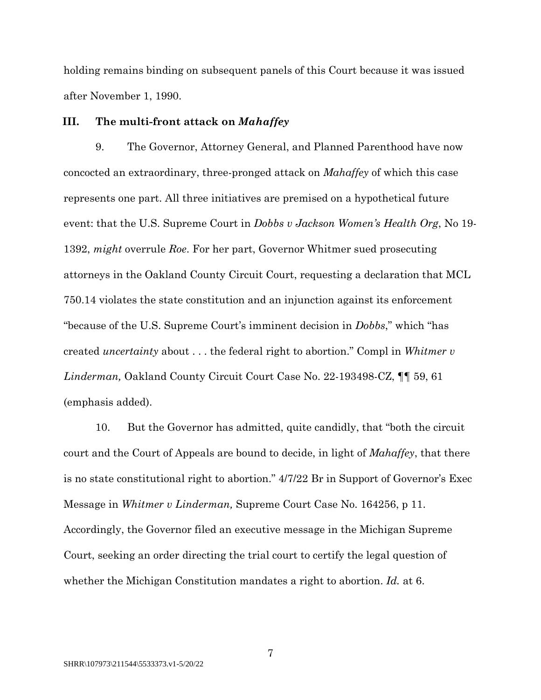holding remains binding on subsequent panels of this Court because it was issued after November 1, 1990.

#### **III. The multi-front attack on** *Mahaffey*

9. The Governor, Attorney General, and Planned Parenthood have now concocted an extraordinary, three-pronged attack on *Mahaffey* of which this case represents one part. All three initiatives are premised on a hypothetical future event: that the U.S. Supreme Court in *Dobbs v Jackson Women's Health Org*, No 19- 1392, *might* overrule *Roe*. For her part, Governor Whitmer sued prosecuting attorneys in the Oakland County Circuit Court, requesting a declaration that MCL 750.14 violates the state constitution and an injunction against its enforcement "because of the U.S. Supreme Court's imminent decision in *Dobbs*," which "has created *uncertainty* about . . . the federal right to abortion." Compl in *Whitmer v Linderman,* Oakland County Circuit Court Case No. 22-193498-CZ, ¶¶ 59, 61 (emphasis added).

10. But the Governor has admitted, quite candidly, that "both the circuit court and the Court of Appeals are bound to decide, in light of *Mahaffey*, that there is no state constitutional right to abortion." 4/7/22 Br in Support of Governor's Exec Message in *Whitmer v Linderman,* Supreme Court Case No. 164256, p 11. Accordingly, the Governor filed an executive message in the Michigan Supreme Court, seeking an order directing the trial court to certify the legal question of whether the Michigan Constitution mandates a right to abortion. *Id.* at 6.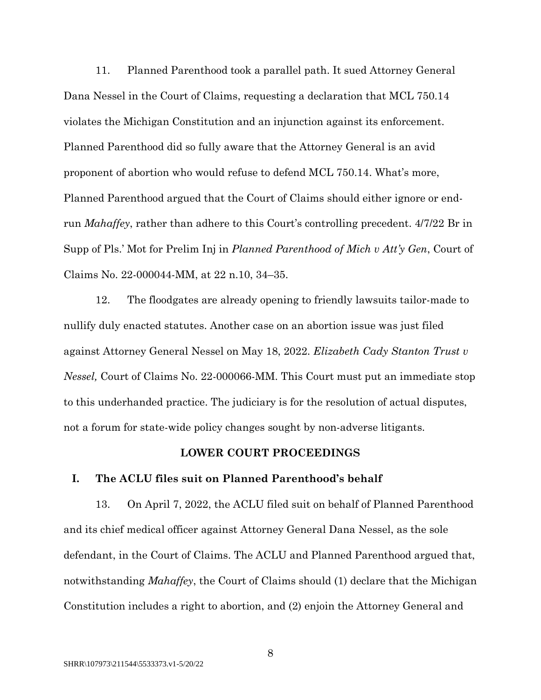11. Planned Parenthood took a parallel path. It sued Attorney General Dana Nessel in the Court of Claims, requesting a declaration that MCL 750.14 violates the Michigan Constitution and an injunction against its enforcement. Planned Parenthood did so fully aware that the Attorney General is an avid proponent of abortion who would refuse to defend MCL 750.14. What's more, Planned Parenthood argued that the Court of Claims should either ignore or endrun *Mahaffey*, rather than adhere to this Court's controlling precedent. 4/7/22 Br in Supp of Pls.' Mot for Prelim Inj in *Planned Parenthood of Mich v Att'y Gen*, Court of Claims No. 22-000044-MM, at 22 n.10, 34–35.

12. The floodgates are already opening to friendly lawsuits tailor-made to nullify duly enacted statutes. Another case on an abortion issue was just filed against Attorney General Nessel on May 18, 2022. *Elizabeth Cady Stanton Trust v Nessel,* Court of Claims No. 22-000066-MM. This Court must put an immediate stop to this underhanded practice. The judiciary is for the resolution of actual disputes, not a forum for state-wide policy changes sought by non-adverse litigants.

### **LOWER COURT PROCEEDINGS**

#### **I. The ACLU files suit on Planned Parenthood's behalf**

13. On April 7, 2022, the ACLU filed suit on behalf of Planned Parenthood and its chief medical officer against Attorney General Dana Nessel, as the sole defendant, in the Court of Claims. The ACLU and Planned Parenthood argued that, notwithstanding *Mahaffey*, the Court of Claims should (1) declare that the Michigan Constitution includes a right to abortion, and (2) enjoin the Attorney General and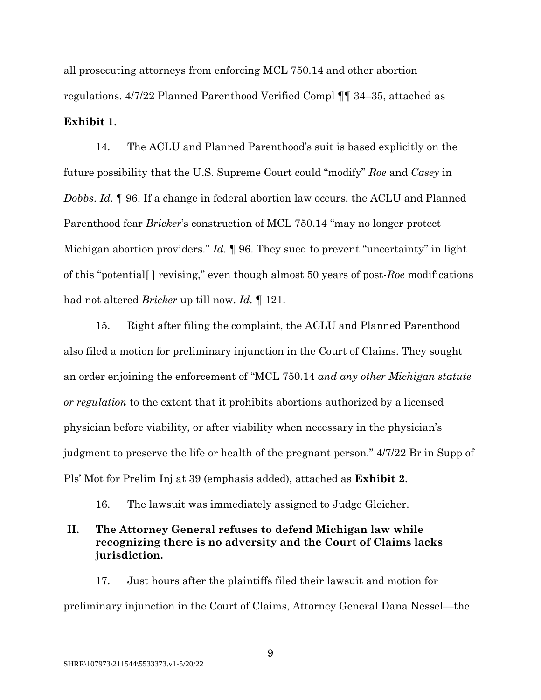all prosecuting attorneys from enforcing MCL 750.14 and other abortion regulations. 4/7/22 Planned Parenthood Verified Compl ¶¶ 34–35, attached as **Exhibit 1**.

14. The ACLU and Planned Parenthood's suit is based explicitly on the future possibility that the U.S. Supreme Court could "modify" *Roe* and *Casey* in *Dobbs*. *Id.* ¶ 96. If a change in federal abortion law occurs, the ACLU and Planned Parenthood fear *Bricker*'s construction of MCL 750.14 "may no longer protect Michigan abortion providers." *Id.* ¶ 96. They sued to prevent "uncertainty" in light of this "potential[ ] revising," even though almost 50 years of post-*Roe* modifications had not altered *Bricker* up till now. *Id.* ¶ 121.

15. Right after filing the complaint, the ACLU and Planned Parenthood also filed a motion for preliminary injunction in the Court of Claims. They sought an order enjoining the enforcement of "MCL 750.14 *and any other Michigan statute or regulation* to the extent that it prohibits abortions authorized by a licensed physician before viability, or after viability when necessary in the physician's judgment to preserve the life or health of the pregnant person." 4/7/22 Br in Supp of Pls' Mot for Prelim Inj at 39 (emphasis added), attached as **Exhibit 2**.

16. The lawsuit was immediately assigned to Judge Gleicher.

# **II. The Attorney General refuses to defend Michigan law while recognizing there is no adversity and the Court of Claims lacks jurisdiction.**

17. Just hours after the plaintiffs filed their lawsuit and motion for preliminary injunction in the Court of Claims, Attorney General Dana Nessel—the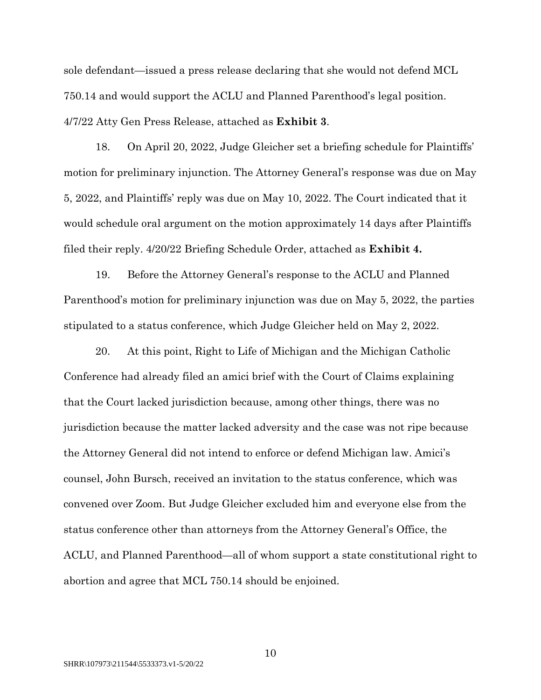sole defendant—issued a press release declaring that she would not defend MCL 750.14 and would support the ACLU and Planned Parenthood's legal position. 4/7/22 Atty Gen Press Release, attached as **Exhibit 3**.

18. On April 20, 2022, Judge Gleicher set a briefing schedule for Plaintiffs' motion for preliminary injunction. The Attorney General's response was due on May 5, 2022, and Plaintiffs' reply was due on May 10, 2022. The Court indicated that it would schedule oral argument on the motion approximately 14 days after Plaintiffs filed their reply. 4/20/22 Briefing Schedule Order, attached as **Exhibit 4.**

19. Before the Attorney General's response to the ACLU and Planned Parenthood's motion for preliminary injunction was due on May 5, 2022, the parties stipulated to a status conference, which Judge Gleicher held on May 2, 2022.

20. At this point, Right to Life of Michigan and the Michigan Catholic Conference had already filed an amici brief with the Court of Claims explaining that the Court lacked jurisdiction because, among other things, there was no jurisdiction because the matter lacked adversity and the case was not ripe because the Attorney General did not intend to enforce or defend Michigan law. Amici's counsel, John Bursch, received an invitation to the status conference, which was convened over Zoom. But Judge Gleicher excluded him and everyone else from the status conference other than attorneys from the Attorney General's Office, the ACLU, and Planned Parenthood—all of whom support a state constitutional right to abortion and agree that MCL 750.14 should be enjoined.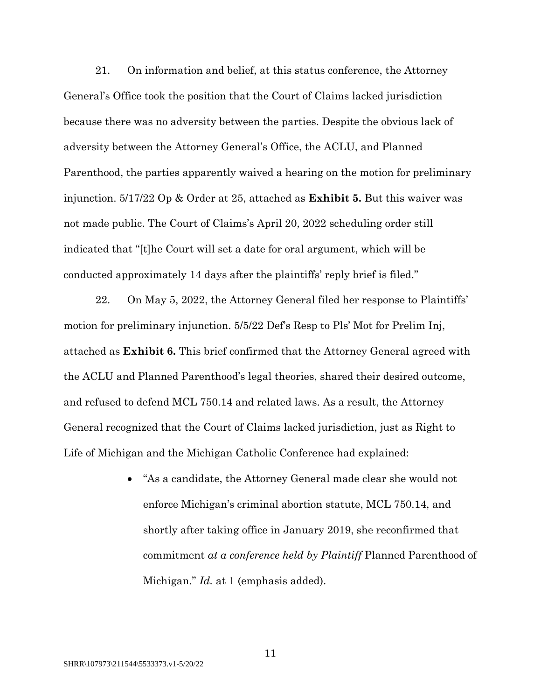21. On information and belief, at this status conference, the Attorney General's Office took the position that the Court of Claims lacked jurisdiction because there was no adversity between the parties. Despite the obvious lack of adversity between the Attorney General's Office, the ACLU, and Planned Parenthood, the parties apparently waived a hearing on the motion for preliminary injunction. 5/17/22 Op & Order at 25, attached as **Exhibit 5.** But this waiver was not made public. The Court of Claims's April 20, 2022 scheduling order still indicated that "[t]he Court will set a date for oral argument, which will be conducted approximately 14 days after the plaintiffs' reply brief is filed."

22. On May 5, 2022, the Attorney General filed her response to Plaintiffs' motion for preliminary injunction. 5/5/22 Def's Resp to Pls' Mot for Prelim Inj, attached as **Exhibit 6.** This brief confirmed that the Attorney General agreed with the ACLU and Planned Parenthood's legal theories, shared their desired outcome, and refused to defend MCL 750.14 and related laws. As a result, the Attorney General recognized that the Court of Claims lacked jurisdiction, just as Right to Life of Michigan and the Michigan Catholic Conference had explained:

> • "As a candidate, the Attorney General made clear she would not enforce Michigan's criminal abortion statute, MCL 750.14, and shortly after taking office in January 2019, she reconfirmed that commitment *at a conference held by Plaintiff* Planned Parenthood of Michigan." *Id.* at 1 (emphasis added).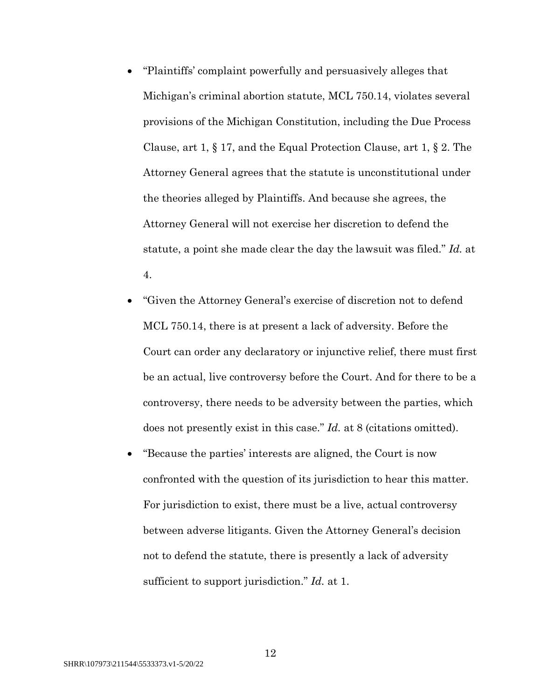- "Plaintiffs' complaint powerfully and persuasively alleges that Michigan's criminal abortion statute, MCL 750.14, violates several provisions of the Michigan Constitution, including the Due Process Clause, art 1, § 17, and the Equal Protection Clause, art 1, § 2. The Attorney General agrees that the statute is unconstitutional under the theories alleged by Plaintiffs. And because she agrees, the Attorney General will not exercise her discretion to defend the statute, a point she made clear the day the lawsuit was filed." *Id.* at 4.
- "Given the Attorney General's exercise of discretion not to defend MCL 750.14, there is at present a lack of adversity. Before the Court can order any declaratory or injunctive relief, there must first be an actual, live controversy before the Court. And for there to be a controversy, there needs to be adversity between the parties, which does not presently exist in this case." *Id.* at 8 (citations omitted).
- "Because the parties' interests are aligned, the Court is now confronted with the question of its jurisdiction to hear this matter. For jurisdiction to exist, there must be a live, actual controversy between adverse litigants. Given the Attorney General's decision not to defend the statute, there is presently a lack of adversity sufficient to support jurisdiction." *Id.* at 1.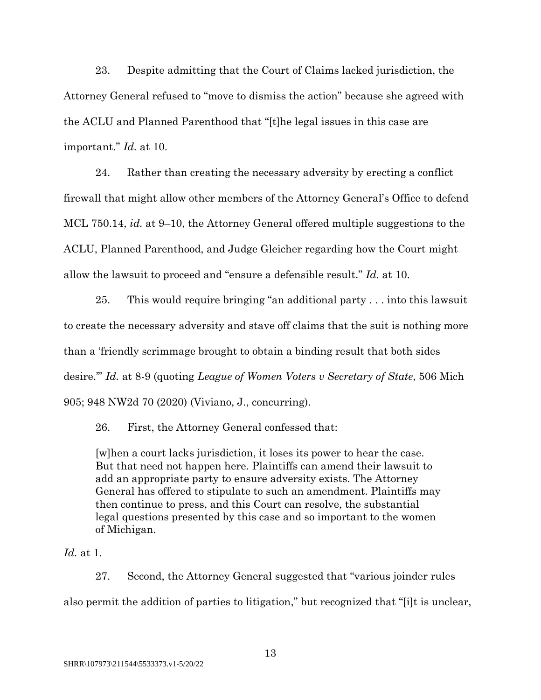23. Despite admitting that the Court of Claims lacked jurisdiction, the Attorney General refused to "move to dismiss the action" because she agreed with the ACLU and Planned Parenthood that "[t]he legal issues in this case are important." *Id.* at 10.

24. Rather than creating the necessary adversity by erecting a conflict firewall that might allow other members of the Attorney General's Office to defend MCL 750.14, *id.* at 9–10, the Attorney General offered multiple suggestions to the ACLU, Planned Parenthood, and Judge Gleicher regarding how the Court might allow the lawsuit to proceed and "ensure a defensible result." *Id.* at 10.

25. This would require bringing "an additional party . . . into this lawsuit to create the necessary adversity and stave off claims that the suit is nothing more than a 'friendly scrimmage brought to obtain a binding result that both sides desire.'" *Id.* at 8-9 (quoting *League of Women Voters v Secretary of State*, 506 Mich 905; 948 NW2d 70 (2020) (Viviano, J., concurring).

26. First, the Attorney General confessed that:

[w]hen a court lacks jurisdiction, it loses its power to hear the case. But that need not happen here. Plaintiffs can amend their lawsuit to add an appropriate party to ensure adversity exists. The Attorney General has offered to stipulate to such an amendment. Plaintiffs may then continue to press, and this Court can resolve, the substantial legal questions presented by this case and so important to the women of Michigan.

*Id.* at 1.

27. Second, the Attorney General suggested that "various joinder rules also permit the addition of parties to litigation," but recognized that "[i]t is unclear,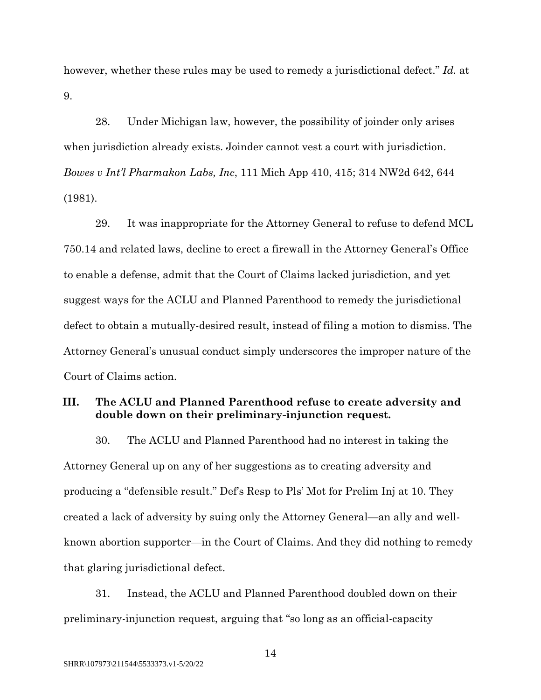however, whether these rules may be used to remedy a jurisdictional defect." *Id.* at 9.

28. Under Michigan law, however, the possibility of joinder only arises when jurisdiction already exists. Joinder cannot vest a court with jurisdiction. *Bowes v Int'l Pharmakon Labs, Inc*, 111 Mich App 410, 415; 314 NW2d 642, 644 (1981).

29. It was inappropriate for the Attorney General to refuse to defend MCL 750.14 and related laws, decline to erect a firewall in the Attorney General's Office to enable a defense, admit that the Court of Claims lacked jurisdiction, and yet suggest ways for the ACLU and Planned Parenthood to remedy the jurisdictional defect to obtain a mutually-desired result, instead of filing a motion to dismiss. The Attorney General's unusual conduct simply underscores the improper nature of the Court of Claims action.

## **III. The ACLU and Planned Parenthood refuse to create adversity and double down on their preliminary-injunction request.**

30. The ACLU and Planned Parenthood had no interest in taking the Attorney General up on any of her suggestions as to creating adversity and producing a "defensible result." Def's Resp to Pls' Mot for Prelim Inj at 10. They created a lack of adversity by suing only the Attorney General—an ally and wellknown abortion supporter—in the Court of Claims. And they did nothing to remedy that glaring jurisdictional defect.

31. Instead, the ACLU and Planned Parenthood doubled down on their preliminary-injunction request, arguing that "so long as an official-capacity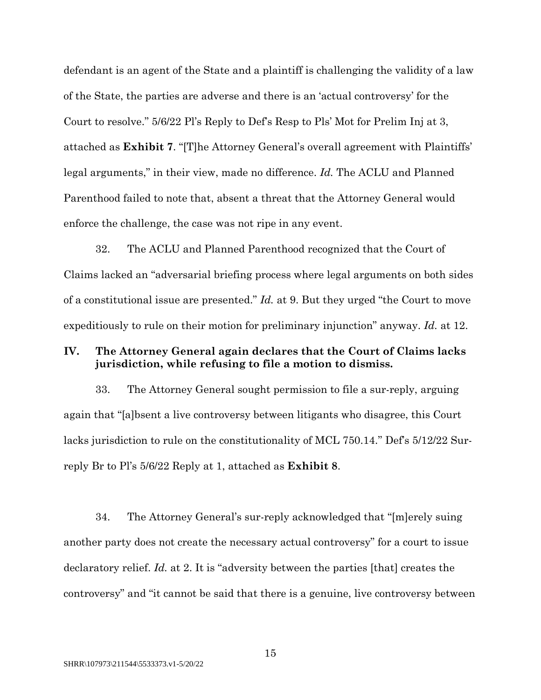defendant is an agent of the State and a plaintiff is challenging the validity of a law of the State, the parties are adverse and there is an 'actual controversy' for the Court to resolve." 5/6/22 Pl's Reply to Def's Resp to Pls' Mot for Prelim Inj at 3, attached as **Exhibit 7**. "[T]he Attorney General's overall agreement with Plaintiffs' legal arguments," in their view, made no difference. *Id.* The ACLU and Planned Parenthood failed to note that, absent a threat that the Attorney General would enforce the challenge, the case was not ripe in any event.

32. The ACLU and Planned Parenthood recognized that the Court of Claims lacked an "adversarial briefing process where legal arguments on both sides of a constitutional issue are presented." *Id.* at 9. But they urged "the Court to move expeditiously to rule on their motion for preliminary injunction" anyway. *Id.* at 12.

## **IV. The Attorney General again declares that the Court of Claims lacks jurisdiction, while refusing to file a motion to dismiss.**

33. The Attorney General sought permission to file a sur-reply, arguing again that "[a]bsent a live controversy between litigants who disagree, this Court lacks jurisdiction to rule on the constitutionality of MCL 750.14." Def's 5/12/22 Surreply Br to Pl's 5/6/22 Reply at 1, attached as **Exhibit 8**.

34. The Attorney General's sur-reply acknowledged that "[m]erely suing another party does not create the necessary actual controversy" for a court to issue declaratory relief. *Id.* at 2. It is "adversity between the parties [that] creates the controversy" and "it cannot be said that there is a genuine, live controversy between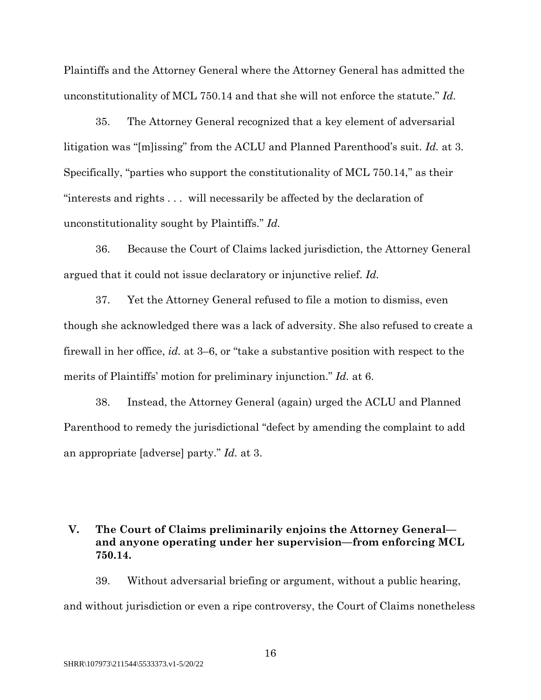Plaintiffs and the Attorney General where the Attorney General has admitted the unconstitutionality of MCL 750.14 and that she will not enforce the statute." *Id.*

35. The Attorney General recognized that a key element of adversarial litigation was "[m]issing" from the ACLU and Planned Parenthood's suit. *Id.* at 3. Specifically, "parties who support the constitutionality of MCL 750.14," as their "interests and rights . . . will necessarily be affected by the declaration of unconstitutionality sought by Plaintiffs." *Id.*

36. Because the Court of Claims lacked jurisdiction, the Attorney General argued that it could not issue declaratory or injunctive relief. *Id.*

37. Yet the Attorney General refused to file a motion to dismiss, even though she acknowledged there was a lack of adversity. She also refused to create a firewall in her office, *id.* at 3–6, or "take a substantive position with respect to the merits of Plaintiffs' motion for preliminary injunction." *Id.* at 6.

38. Instead, the Attorney General (again) urged the ACLU and Planned Parenthood to remedy the jurisdictional "defect by amending the complaint to add an appropriate [adverse] party." *Id.* at 3.

# **V. The Court of Claims preliminarily enjoins the Attorney General and anyone operating under her supervision—from enforcing MCL 750.14.**

39. Without adversarial briefing or argument, without a public hearing, and without jurisdiction or even a ripe controversy, the Court of Claims nonetheless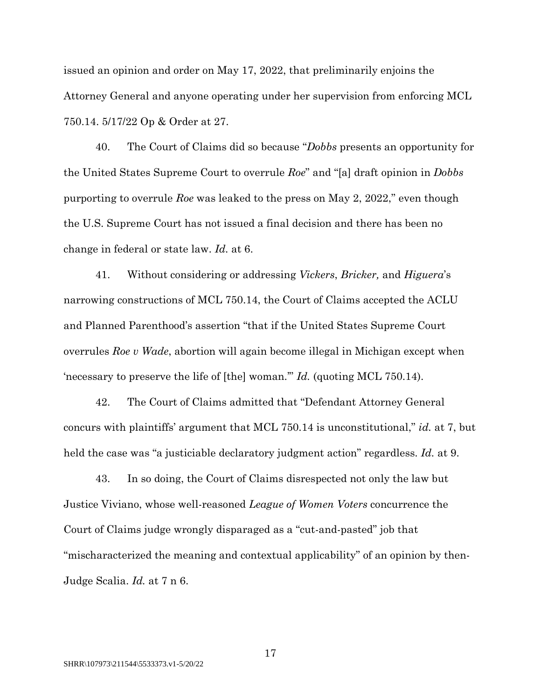issued an opinion and order on May 17, 2022, that preliminarily enjoins the Attorney General and anyone operating under her supervision from enforcing MCL 750.14. 5/17/22 Op & Order at 27.

40. The Court of Claims did so because "*Dobbs* presents an opportunity for the United States Supreme Court to overrule *Roe*" and "[a] draft opinion in *Dobbs*  purporting to overrule *Roe* was leaked to the press on May 2, 2022," even though the U.S. Supreme Court has not issued a final decision and there has been no change in federal or state law. *Id.* at 6.

41. Without considering or addressing *Vickers*, *Bricker,* and *Higuera*'s narrowing constructions of MCL 750.14, the Court of Claims accepted the ACLU and Planned Parenthood's assertion "that if the United States Supreme Court overrules *Roe v Wade*, abortion will again become illegal in Michigan except when 'necessary to preserve the life of [the] woman.'" *Id.* (quoting MCL 750.14).

42. The Court of Claims admitted that "Defendant Attorney General concurs with plaintiffs' argument that MCL 750.14 is unconstitutional," *id.* at 7, but held the case was "a justiciable declaratory judgment action" regardless. *Id.* at 9.

43. In so doing, the Court of Claims disrespected not only the law but Justice Viviano, whose well-reasoned *League of Women Voters* concurrence the Court of Claims judge wrongly disparaged as a "cut-and-pasted" job that "mischaracterized the meaning and contextual applicability" of an opinion by then-Judge Scalia. *Id.* at 7 n 6.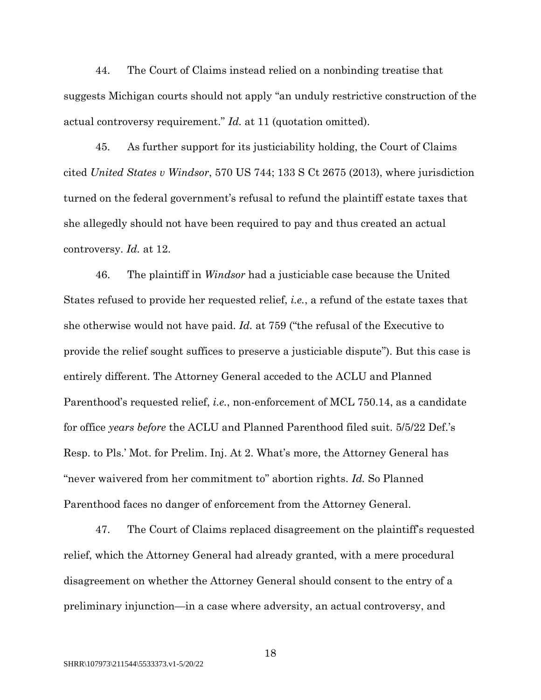44. The Court of Claims instead relied on a nonbinding treatise that suggests Michigan courts should not apply "an unduly restrictive construction of the actual controversy requirement." *Id.* at 11 (quotation omitted).

45. As further support for its justiciability holding, the Court of Claims cited *United States v Windsor*, 570 US 744; 133 S Ct 2675 (2013), where jurisdiction turned on the federal government's refusal to refund the plaintiff estate taxes that she allegedly should not have been required to pay and thus created an actual controversy. *Id.* at 12.

46. The plaintiff in *Windsor* had a justiciable case because the United States refused to provide her requested relief, *i.e.*, a refund of the estate taxes that she otherwise would not have paid. *Id.* at 759 ("the refusal of the Executive to provide the relief sought suffices to preserve a justiciable dispute"). But this case is entirely different. The Attorney General acceded to the ACLU and Planned Parenthood's requested relief, *i.e.*, non-enforcement of MCL 750.14, as a candidate for office *years before* the ACLU and Planned Parenthood filed suit. 5/5/22 Def.'s Resp. to Pls.' Mot. for Prelim. Inj. At 2. What's more, the Attorney General has "never waivered from her commitment to" abortion rights. *Id.* So Planned Parenthood faces no danger of enforcement from the Attorney General.

47. The Court of Claims replaced disagreement on the plaintiff's requested relief, which the Attorney General had already granted, with a mere procedural disagreement on whether the Attorney General should consent to the entry of a preliminary injunction—in a case where adversity, an actual controversy, and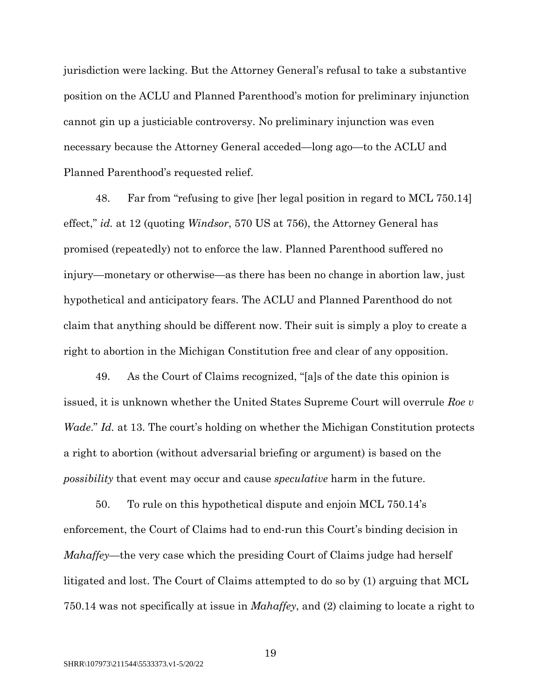jurisdiction were lacking. But the Attorney General's refusal to take a substantive position on the ACLU and Planned Parenthood's motion for preliminary injunction cannot gin up a justiciable controversy. No preliminary injunction was even necessary because the Attorney General acceded—long ago—to the ACLU and Planned Parenthood's requested relief.

48. Far from "refusing to give [her legal position in regard to MCL 750.14] effect," *id.* at 12 (quoting *Windsor*, 570 US at 756), the Attorney General has promised (repeatedly) not to enforce the law. Planned Parenthood suffered no injury—monetary or otherwise—as there has been no change in abortion law, just hypothetical and anticipatory fears. The ACLU and Planned Parenthood do not claim that anything should be different now. Their suit is simply a ploy to create a right to abortion in the Michigan Constitution free and clear of any opposition.

49. As the Court of Claims recognized, "[a]s of the date this opinion is issued, it is unknown whether the United States Supreme Court will overrule *Roe v Wade*." *Id.* at 13. The court's holding on whether the Michigan Constitution protects a right to abortion (without adversarial briefing or argument) is based on the *possibility* that event may occur and cause *speculative* harm in the future.

50. To rule on this hypothetical dispute and enjoin MCL 750.14's enforcement, the Court of Claims had to end-run this Court's binding decision in *Mahaffey*—the very case which the presiding Court of Claims judge had herself litigated and lost. The Court of Claims attempted to do so by (1) arguing that MCL 750.14 was not specifically at issue in *Mahaffey*, and (2) claiming to locate a right to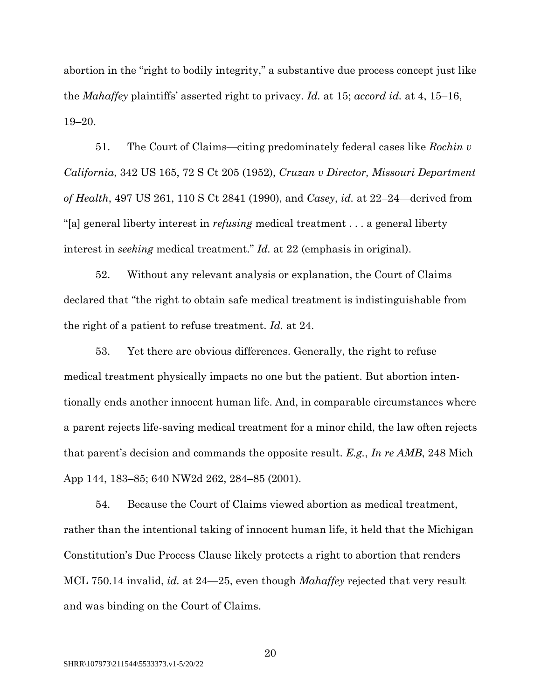abortion in the "right to bodily integrity," a substantive due process concept just like the *Mahaffey* plaintiffs' asserted right to privacy. *Id.* at 15; *accord id.* at 4, 15–16, 19–20.

51. The Court of Claims—citing predominately federal cases like *Rochin v California*, 342 US 165, 72 S Ct 205 (1952), *Cruzan v Director, Missouri Department of Health*, 497 US 261, 110 S Ct 2841 (1990), and *Casey*, *id.* at 22–24—derived from "[a] general liberty interest in *refusing* medical treatment . . . a general liberty interest in *seeking* medical treatment." *Id.* at 22 (emphasis in original).

52. Without any relevant analysis or explanation, the Court of Claims declared that "the right to obtain safe medical treatment is indistinguishable from the right of a patient to refuse treatment. *Id.* at 24.

53. Yet there are obvious differences. Generally, the right to refuse medical treatment physically impacts no one but the patient. But abortion intentionally ends another innocent human life. And, in comparable circumstances where a parent rejects life-saving medical treatment for a minor child, the law often rejects that parent's decision and commands the opposite result. *E.g.*, *In re AMB*, 248 Mich App 144, 183–85; 640 NW2d 262, 284–85 (2001).

54. Because the Court of Claims viewed abortion as medical treatment, rather than the intentional taking of innocent human life, it held that the Michigan Constitution's Due Process Clause likely protects a right to abortion that renders MCL 750.14 invalid, *id.* at 24—25, even though *Mahaffey* rejected that very result and was binding on the Court of Claims.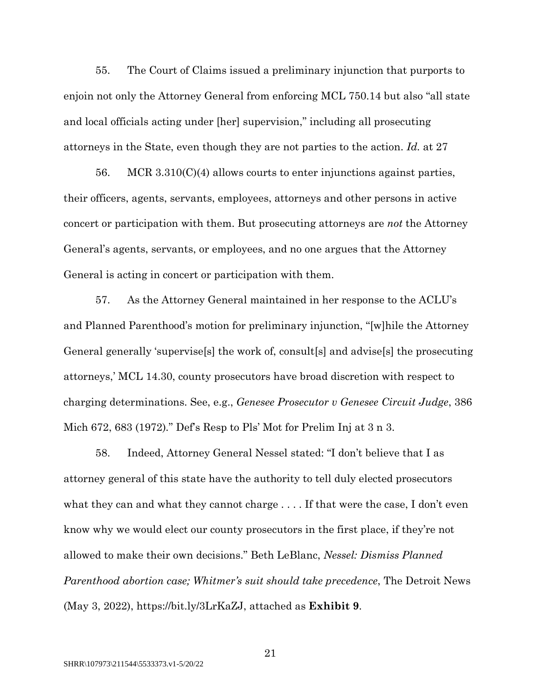55. The Court of Claims issued a preliminary injunction that purports to enjoin not only the Attorney General from enforcing MCL 750.14 but also "all state and local officials acting under [her] supervision," including all prosecuting attorneys in the State, even though they are not parties to the action. *Id.* at 27

56. MCR  $3.310(C)(4)$  allows courts to enter injunctions against parties, their officers, agents, servants, employees, attorneys and other persons in active concert or participation with them. But prosecuting attorneys are *not* the Attorney General's agents, servants, or employees, and no one argues that the Attorney General is acting in concert or participation with them.

57. As the Attorney General maintained in her response to the ACLU's and Planned Parenthood's motion for preliminary injunction, "[w]hile the Attorney General generally 'supervise[s] the work of, consult[s] and advise[s] the prosecuting attorneys,' MCL 14.30, county prosecutors have broad discretion with respect to charging determinations. See, e.g., *Genesee Prosecutor v Genesee Circuit Judge*, 386 Mich 672, 683 (1972)*.*" Def's Resp to Pls' Mot for Prelim Inj at 3 n 3.

58. Indeed, Attorney General Nessel stated: "I don't believe that I as attorney general of this state have the authority to tell duly elected prosecutors what they can and what they cannot charge . . . . If that were the case, I don't even know why we would elect our county prosecutors in the first place, if they're not allowed to make their own decisions." Beth LeBlanc, *Nessel: Dismiss Planned Parenthood abortion case; Whitmer's suit should take precedence*, The Detroit News (May 3, 2022), https://bit.ly/3LrKaZJ, attached as **Exhibit 9**.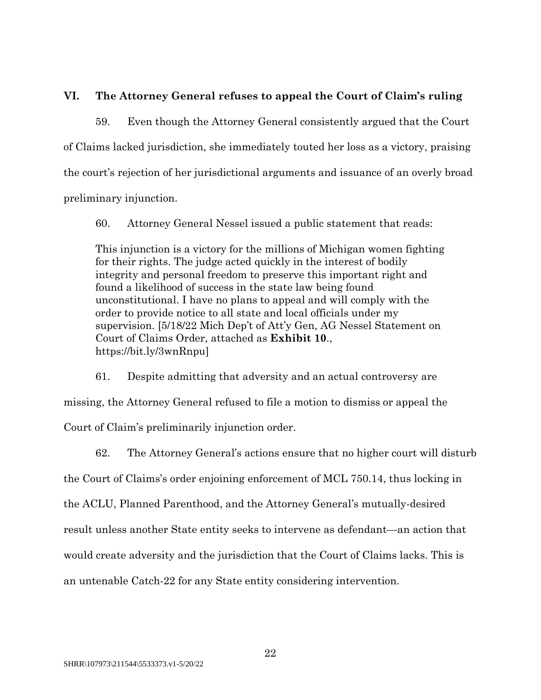## **VI. The Attorney General refuses to appeal the Court of Claim's ruling**

59. Even though the Attorney General consistently argued that the Court of Claims lacked jurisdiction, she immediately touted her loss as a victory, praising the court's rejection of her jurisdictional arguments and issuance of an overly broad preliminary injunction.

60. Attorney General Nessel issued a public statement that reads:

This injunction is a victory for the millions of Michigan women fighting for their rights. The judge acted quickly in the interest of bodily integrity and personal freedom to preserve this important right and found a likelihood of success in the state law being found unconstitutional. I have no plans to appeal and will comply with the order to provide notice to all state and local officials under my supervision. [5/18/22 Mich Dep't of Att'y Gen, AG Nessel Statement on Court of Claims Order, attached as **Exhibit 10**., https://bit.ly/3wnRnpu]

61. Despite admitting that adversity and an actual controversy are missing, the Attorney General refused to file a motion to dismiss or appeal the Court of Claim's preliminarily injunction order.

62. The Attorney General's actions ensure that no higher court will disturb the Court of Claims's order enjoining enforcement of MCL 750.14, thus locking in the ACLU, Planned Parenthood, and the Attorney General's mutually-desired result unless another State entity seeks to intervene as defendant—an action that would create adversity and the jurisdiction that the Court of Claims lacks. This is an untenable Catch-22 for any State entity considering intervention.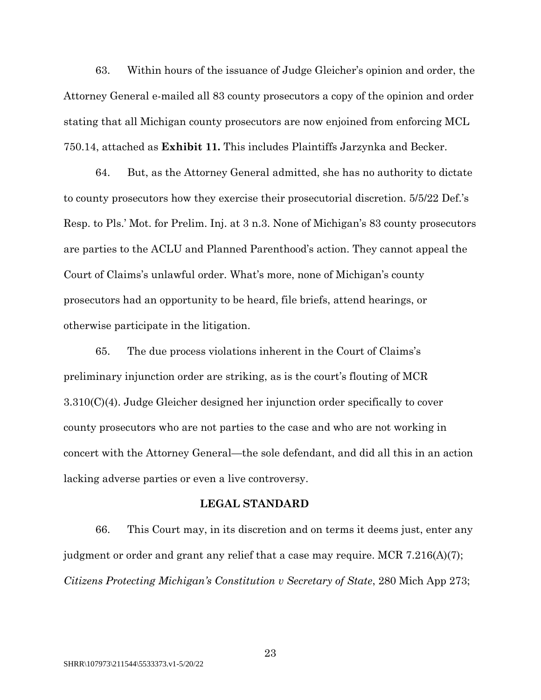63. Within hours of the issuance of Judge Gleicher's opinion and order, the Attorney General e-mailed all 83 county prosecutors a copy of the opinion and order stating that all Michigan county prosecutors are now enjoined from enforcing MCL 750.14, attached as **Exhibit 11.** This includes Plaintiffs Jarzynka and Becker.

64. But, as the Attorney General admitted, she has no authority to dictate to county prosecutors how they exercise their prosecutorial discretion. 5/5/22 Def.'s Resp. to Pls.' Mot. for Prelim. Inj. at 3 n.3. None of Michigan's 83 county prosecutors are parties to the ACLU and Planned Parenthood's action. They cannot appeal the Court of Claims's unlawful order. What's more, none of Michigan's county prosecutors had an opportunity to be heard, file briefs, attend hearings, or otherwise participate in the litigation.

65. The due process violations inherent in the Court of Claims's preliminary injunction order are striking, as is the court's flouting of MCR 3.310(C)(4). Judge Gleicher designed her injunction order specifically to cover county prosecutors who are not parties to the case and who are not working in concert with the Attorney General—the sole defendant, and did all this in an action lacking adverse parties or even a live controversy.

#### **LEGAL STANDARD**

66. This Court may, in its discretion and on terms it deems just, enter any judgment or order and grant any relief that a case may require. MCR 7.216(A)(7); *Citizens Protecting Michigan's Constitution v Secretary of State*, 280 Mich App 273;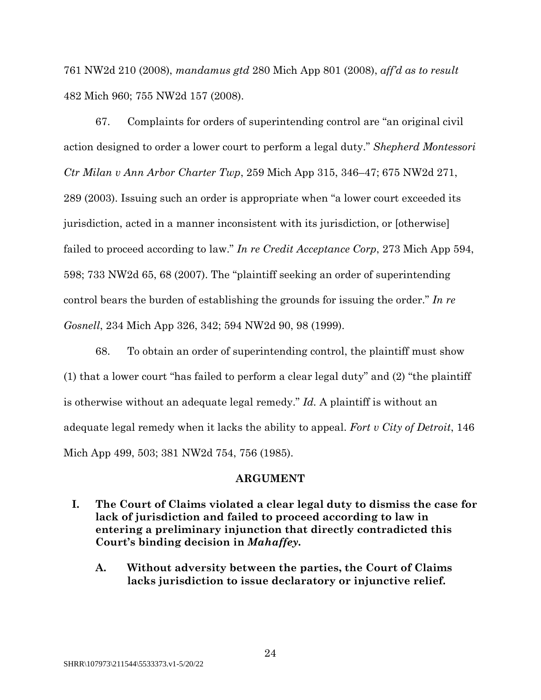761 NW2d 210 (2008), *mandamus gtd* 280 Mich App 801 (2008), *aff'd as to result* 482 Mich 960; 755 NW2d 157 (2008).

67. Complaints for orders of superintending control are "an original civil action designed to order a lower court to perform a legal duty." *Shepherd Montessori Ctr Milan v Ann Arbor Charter Twp*, 259 Mich App 315, 346–47; 675 NW2d 271, 289 (2003). Issuing such an order is appropriate when "a lower court exceeded its jurisdiction, acted in a manner inconsistent with its jurisdiction, or [otherwise] failed to proceed according to law." *In re Credit Acceptance Corp*, 273 Mich App 594, 598; 733 NW2d 65, 68 (2007). The "plaintiff seeking an order of superintending control bears the burden of establishing the grounds for issuing the order." *In re Gosnell*, 234 Mich App 326, 342; 594 NW2d 90, 98 (1999).

68. To obtain an order of superintending control, the plaintiff must show (1) that a lower court "has failed to perform a clear legal duty" and (2) "the plaintiff is otherwise without an adequate legal remedy." *Id.* A plaintiff is without an adequate legal remedy when it lacks the ability to appeal. *Fort v City of Detroit*, 146 Mich App 499, 503; 381 NW2d 754, 756 (1985).

#### **ARGUMENT**

- **I. The Court of Claims violated a clear legal duty to dismiss the case for lack of jurisdiction and failed to proceed according to law in entering a preliminary injunction that directly contradicted this Court's binding decision in** *Mahaffey***.**
	- **A. Without adversity between the parties, the Court of Claims lacks jurisdiction to issue declaratory or injunctive relief.**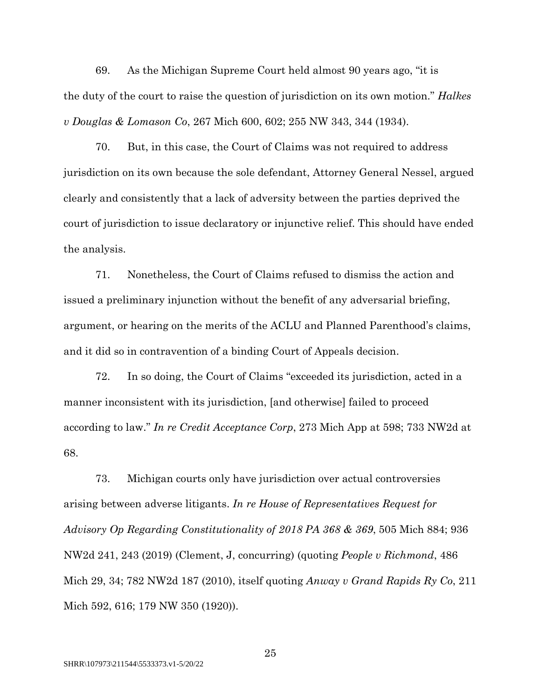69. As the Michigan Supreme Court held almost 90 years ago, "it is the duty of the court to raise the question of jurisdiction on its own motion." *Halkes v Douglas & Lomason Co*, 267 Mich 600, 602; 255 NW 343, 344 (1934).

70. But, in this case, the Court of Claims was not required to address jurisdiction on its own because the sole defendant, Attorney General Nessel, argued clearly and consistently that a lack of adversity between the parties deprived the court of jurisdiction to issue declaratory or injunctive relief. This should have ended the analysis.

71. Nonetheless, the Court of Claims refused to dismiss the action and issued a preliminary injunction without the benefit of any adversarial briefing, argument, or hearing on the merits of the ACLU and Planned Parenthood's claims, and it did so in contravention of a binding Court of Appeals decision.

72. In so doing, the Court of Claims "exceeded its jurisdiction, acted in a manner inconsistent with its jurisdiction, [and otherwise] failed to proceed according to law." *In re Credit Acceptance Corp*, 273 Mich App at 598; 733 NW2d at 68.

73. Michigan courts only have jurisdiction over actual controversies arising between adverse litigants. *In re House of Representatives Request for Advisory Op Regarding Constitutionality of 2018 PA 368 & 369*, 505 Mich 884; 936 NW2d 241, 243 (2019) (Clement, J, concurring) (quoting *People v Richmond*, 486 Mich 29, 34; 782 NW2d 187 (2010), itself quoting *Anway v Grand Rapids Ry Co*, 211 Mich 592, 616; 179 NW 350 (1920)).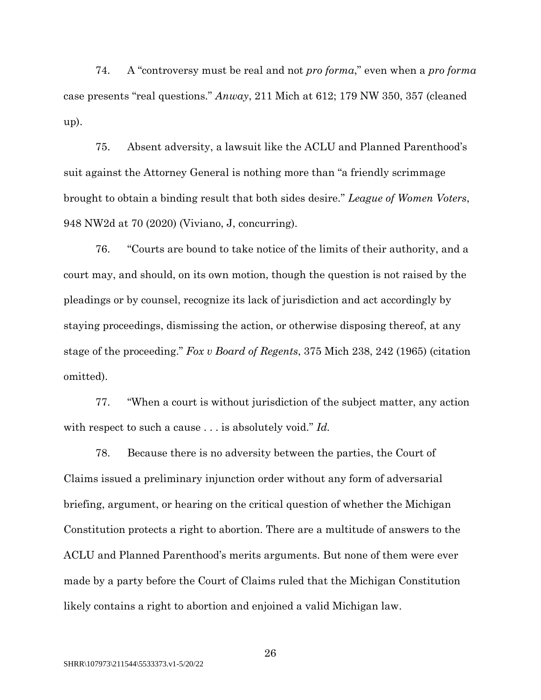74. A "controversy must be real and not *pro forma*," even when a *pro forma* case presents "real questions." *Anway*, 211 Mich at 612; 179 NW 350, 357 (cleaned up).

75. Absent adversity, a lawsuit like the ACLU and Planned Parenthood's suit against the Attorney General is nothing more than "a friendly scrimmage brought to obtain a binding result that both sides desire." *League of Women Voters*, 948 NW2d at 70 (2020) (Viviano, J, concurring).

76. "Courts are bound to take notice of the limits of their authority, and a court may, and should, on its own motion, though the question is not raised by the pleadings or by counsel, recognize its lack of jurisdiction and act accordingly by staying proceedings, dismissing the action, or otherwise disposing thereof, at any stage of the proceeding." *Fox v Board of Regents*, 375 Mich 238, 242 (1965) (citation omitted).

77. "When a court is without jurisdiction of the subject matter, any action with respect to such a cause . . . is absolutely void." *Id.*

78. Because there is no adversity between the parties, the Court of Claims issued a preliminary injunction order without any form of adversarial briefing, argument, or hearing on the critical question of whether the Michigan Constitution protects a right to abortion. There are a multitude of answers to the ACLU and Planned Parenthood's merits arguments. But none of them were ever made by a party before the Court of Claims ruled that the Michigan Constitution likely contains a right to abortion and enjoined a valid Michigan law.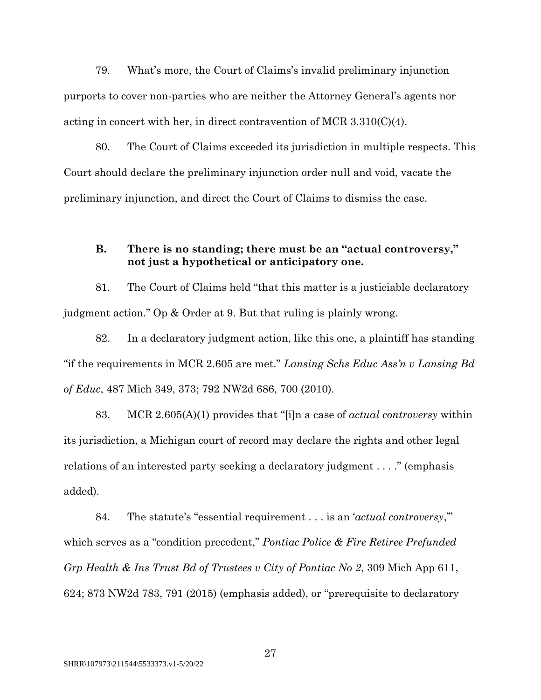79. What's more, the Court of Claims's invalid preliminary injunction purports to cover non-parties who are neither the Attorney General's agents nor acting in concert with her, in direct contravention of MCR 3.310(C)(4).

80. The Court of Claims exceeded its jurisdiction in multiple respects. This Court should declare the preliminary injunction order null and void, vacate the preliminary injunction, and direct the Court of Claims to dismiss the case.

## **B. There is no standing; there must be an "actual controversy," not just a hypothetical or anticipatory one.**

81. The Court of Claims held "that this matter is a justiciable declaratory judgment action." Op & Order at 9. But that ruling is plainly wrong.

82. In a declaratory judgment action, like this one, a plaintiff has standing "if the requirements in MCR 2.605 are met." *Lansing Schs Educ Ass'n v Lansing Bd of Educ*, 487 Mich 349, 373; 792 NW2d 686, 700 (2010).

83. MCR 2.605(A)(1) provides that "[i]n a case of *actual controversy* within its jurisdiction, a Michigan court of record may declare the rights and other legal relations of an interested party seeking a declaratory judgment . . . ." (emphasis added).

84. The statute's "essential requirement . . . is an '*actual controversy*,'" which serves as a "condition precedent," *Pontiac Police & Fire Retiree Prefunded Grp Health & Ins Trust Bd of Trustees v City of Pontiac No 2*, 309 Mich App 611, 624; 873 NW2d 783, 791 (2015) (emphasis added), or "prerequisite to declaratory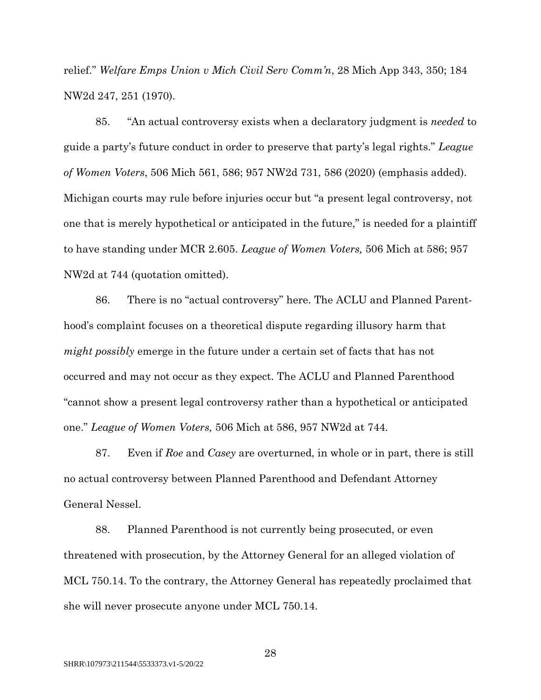relief." *Welfare Emps Union v Mich Civil Serv Comm'n*, 28 Mich App 343, 350; 184 NW2d 247, 251 (1970).

85. "An actual controversy exists when a declaratory judgment is *needed* to guide a party's future conduct in order to preserve that party's legal rights." *League of Women Voters*, 506 Mich 561, 586; 957 NW2d 731, 586 (2020) (emphasis added). Michigan courts may rule before injuries occur but "a present legal controversy, not one that is merely hypothetical or anticipated in the future," is needed for a plaintiff to have standing under MCR 2.605. *League of Women Voters,* 506 Mich at 586; 957 NW2d at 744 (quotation omitted).

86. There is no "actual controversy" here. The ACLU and Planned Parenthood's complaint focuses on a theoretical dispute regarding illusory harm that *might possibly* emerge in the future under a certain set of facts that has not occurred and may not occur as they expect. The ACLU and Planned Parenthood "cannot show a present legal controversy rather than a hypothetical or anticipated one." *League of Women Voters,* 506 Mich at 586, 957 NW2d at 744.

87. Even if *Roe* and *Casey* are overturned, in whole or in part, there is still no actual controversy between Planned Parenthood and Defendant Attorney General Nessel.

88. Planned Parenthood is not currently being prosecuted, or even threatened with prosecution, by the Attorney General for an alleged violation of MCL 750.14. To the contrary, the Attorney General has repeatedly proclaimed that she will never prosecute anyone under MCL 750.14.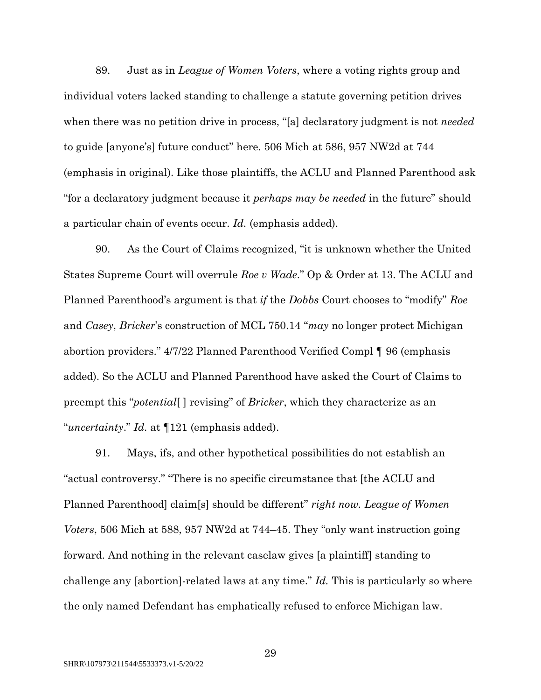89. Just as in *League of Women Voters*, where a voting rights group and individual voters lacked standing to challenge a statute governing petition drives when there was no petition drive in process, "[a] declaratory judgment is not *needed*  to guide [anyone's] future conduct" here. 506 Mich at 586, 957 NW2d at 744 (emphasis in original). Like those plaintiffs, the ACLU and Planned Parenthood ask "for a declaratory judgment because it *perhaps may be needed* in the future" should a particular chain of events occur. *Id.* (emphasis added).

90. As the Court of Claims recognized, "it is unknown whether the United States Supreme Court will overrule *Roe v Wade*." Op & Order at 13. The ACLU and Planned Parenthood's argument is that *if* the *Dobbs* Court chooses to "modify" *Roe* and *Casey*, *Bricker*'s construction of MCL 750.14 "*may* no longer protect Michigan abortion providers." 4/7/22 Planned Parenthood Verified Compl ¶ 96 (emphasis added). So the ACLU and Planned Parenthood have asked the Court of Claims to preempt this "*potential*[ ] revising" of *Bricker*, which they characterize as an "*uncertainty*." *Id.* at ¶121 (emphasis added).

91. Mays, ifs, and other hypothetical possibilities do not establish an "actual controversy." "There is no specific circumstance that [the ACLU and Planned Parenthood] claim[s] should be different" *right now. League of Women Voters*, 506 Mich at 588, 957 NW2d at 744–45. They "only want instruction going forward. And nothing in the relevant caselaw gives [a plaintiff] standing to challenge any [abortion]-related laws at any time." *Id.* This is particularly so where the only named Defendant has emphatically refused to enforce Michigan law.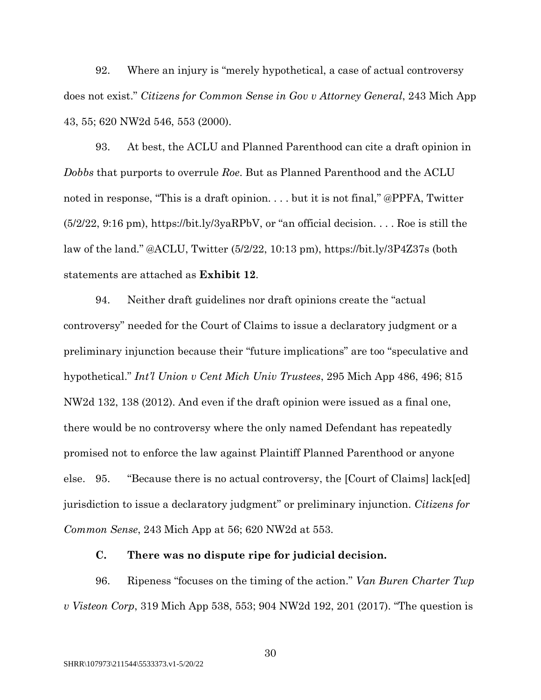92. Where an injury is "merely hypothetical, a case of actual controversy does not exist." *Citizens for Common Sense in Gov v Attorney General*, 243 Mich App 43, 55; 620 NW2d 546, 553 (2000).

93. At best, the ACLU and Planned Parenthood can cite a draft opinion in *Dobbs* that purports to overrule *Roe*. But as Planned Parenthood and the ACLU noted in response, "This is a draft opinion. . . . but it is not final," @PPFA, Twitter (5/2/22, 9:16 pm), https://bit.ly/3yaRPbV, or "an official decision. . . . Roe is still the law of the land." @ACLU, Twitter (5/2/22, 10:13 pm), https://bit.ly/3P4Z37s (both statements are attached as **Exhibit 12**.

94. Neither draft guidelines nor draft opinions create the "actual controversy" needed for the Court of Claims to issue a declaratory judgment or a preliminary injunction because their "future implications" are too "speculative and hypothetical." *Int'l Union v Cent Mich Univ Trustees*, 295 Mich App 486, 496; 815 NW2d 132, 138 (2012). And even if the draft opinion were issued as a final one, there would be no controversy where the only named Defendant has repeatedly promised not to enforce the law against Plaintiff Planned Parenthood or anyone else. 95. "Because there is no actual controversy, the [Court of Claims] lack[ed] jurisdiction to issue a declaratory judgment" or preliminary injunction. *Citizens for Common Sense*, 243 Mich App at 56; 620 NW2d at 553.

### **C. There was no dispute ripe for judicial decision.**

96. Ripeness "focuses on the timing of the action." *Van Buren Charter Twp v Visteon Corp*, 319 Mich App 538, 553; 904 NW2d 192, 201 (2017). "The question is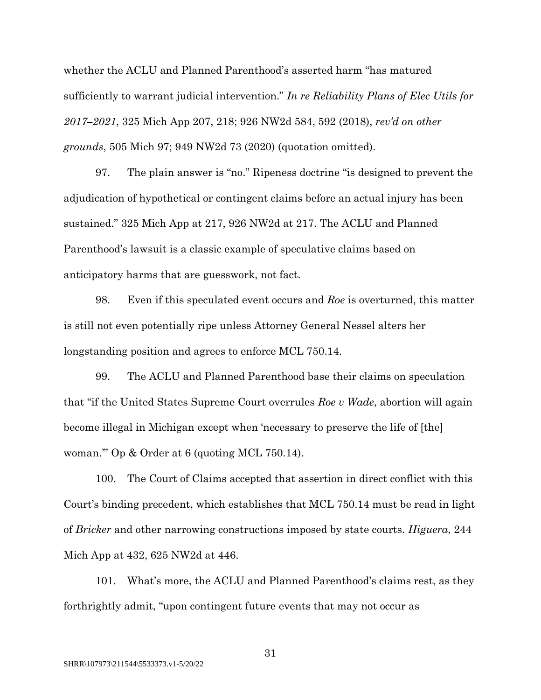whether the ACLU and Planned Parenthood's asserted harm "has matured sufficiently to warrant judicial intervention." *In re Reliability Plans of Elec Utils for 2017–2021*, 325 Mich App 207, 218; 926 NW2d 584, 592 (2018), *rev'd on other grounds*, 505 Mich 97; 949 NW2d 73 (2020) (quotation omitted).

97. The plain answer is "no." Ripeness doctrine "is designed to prevent the adjudication of hypothetical or contingent claims before an actual injury has been sustained." 325 Mich App at 217, 926 NW2d at 217. The ACLU and Planned Parenthood's lawsuit is a classic example of speculative claims based on anticipatory harms that are guesswork, not fact.

98. Even if this speculated event occurs and *Roe* is overturned, this matter is still not even potentially ripe unless Attorney General Nessel alters her longstanding position and agrees to enforce MCL 750.14.

99. The ACLU and Planned Parenthood base their claims on speculation that "if the United States Supreme Court overrules *Roe v Wade*, abortion will again become illegal in Michigan except when 'necessary to preserve the life of [the] woman.'" Op & Order at 6 (quoting MCL 750.14).

100. The Court of Claims accepted that assertion in direct conflict with this Court's binding precedent, which establishes that MCL 750.14 must be read in light of *Bricker* and other narrowing constructions imposed by state courts. *Higuera*, 244 Mich App at 432, 625 NW2d at 446.

101. What's more, the ACLU and Planned Parenthood's claims rest, as they forthrightly admit, "upon contingent future events that may not occur as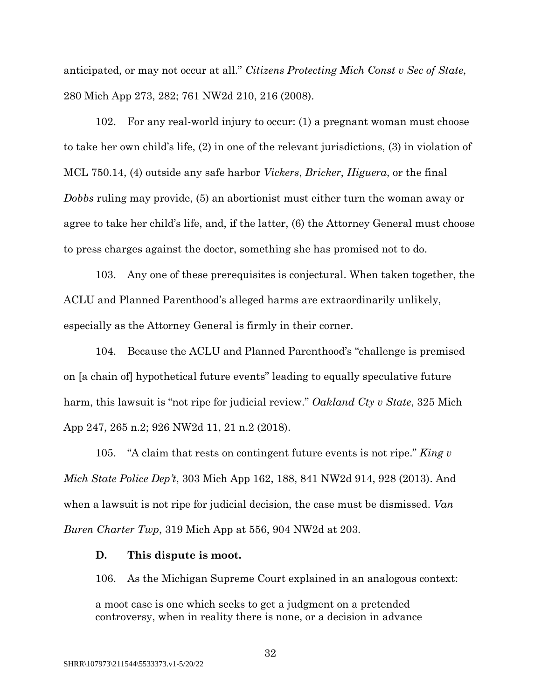anticipated, or may not occur at all." *Citizens Protecting Mich Const v Sec of State*, 280 Mich App 273, 282; 761 NW2d 210, 216 (2008).

102. For any real-world injury to occur: (1) a pregnant woman must choose to take her own child's life, (2) in one of the relevant jurisdictions, (3) in violation of MCL 750.14, (4) outside any safe harbor *Vickers*, *Bricker*, *Higuera*, or the final *Dobbs* ruling may provide, (5) an abortionist must either turn the woman away or agree to take her child's life, and, if the latter, (6) the Attorney General must choose to press charges against the doctor, something she has promised not to do.

103. Any one of these prerequisites is conjectural. When taken together, the ACLU and Planned Parenthood's alleged harms are extraordinarily unlikely, especially as the Attorney General is firmly in their corner.

104. Because the ACLU and Planned Parenthood's "challenge is premised on [a chain of] hypothetical future events" leading to equally speculative future harm, this lawsuit is "not ripe for judicial review." *Oakland Cty v State*, 325 Mich App 247, 265 n.2; 926 NW2d 11, 21 n.2 (2018).

105. "A claim that rests on contingent future events is not ripe." *King v Mich State Police Dep't*, 303 Mich App 162, 188, 841 NW2d 914, 928 (2013). And when a lawsuit is not ripe for judicial decision, the case must be dismissed. *Van Buren Charter Twp*, 319 Mich App at 556, 904 NW2d at 203.

#### **D. This dispute is moot.**

106. As the Michigan Supreme Court explained in an analogous context:

a moot case is one which seeks to get a judgment on a pretended controversy, when in reality there is none, or a decision in advance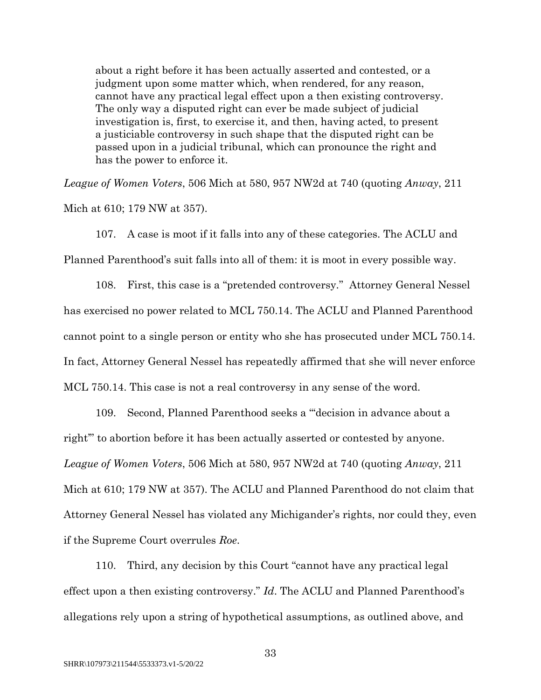about a right before it has been actually asserted and contested, or a judgment upon some matter which, when rendered, for any reason, cannot have any practical legal effect upon a then existing controversy. The only way a disputed right can ever be made subject of judicial investigation is, first, to exercise it, and then, having acted, to present a justiciable controversy in such shape that the disputed right can be passed upon in a judicial tribunal, which can pronounce the right and has the power to enforce it.

*League of Women Voters*, 506 Mich at 580, 957 NW2d at 740 (quoting *Anway*, 211 Mich at 610; 179 NW at 357).

107. A case is moot if it falls into any of these categories. The ACLU and Planned Parenthood's suit falls into all of them: it is moot in every possible way.

108. First, this case is a "pretended controversy." Attorney General Nessel has exercised no power related to MCL 750.14. The ACLU and Planned Parenthood cannot point to a single person or entity who she has prosecuted under MCL 750.14. In fact, Attorney General Nessel has repeatedly affirmed that she will never enforce MCL 750.14. This case is not a real controversy in any sense of the word.

109. Second, Planned Parenthood seeks a "'decision in advance about a right'" to abortion before it has been actually asserted or contested by anyone. *League of Women Voters*, 506 Mich at 580, 957 NW2d at 740 (quoting *Anway*, 211 Mich at 610; 179 NW at 357). The ACLU and Planned Parenthood do not claim that Attorney General Nessel has violated any Michigander's rights, nor could they, even if the Supreme Court overrules *Roe*.

110. Third, any decision by this Court "cannot have any practical legal effect upon a then existing controversy." *Id*. The ACLU and Planned Parenthood's allegations rely upon a string of hypothetical assumptions, as outlined above, and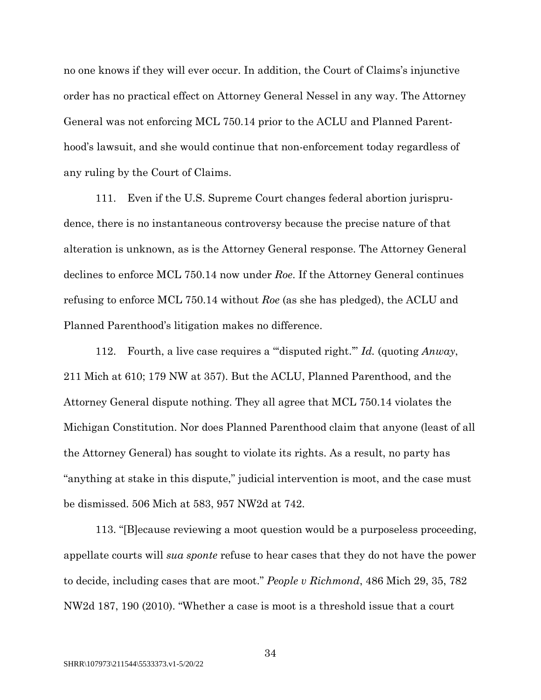no one knows if they will ever occur. In addition, the Court of Claims's injunctive order has no practical effect on Attorney General Nessel in any way. The Attorney General was not enforcing MCL 750.14 prior to the ACLU and Planned Parenthood's lawsuit, and she would continue that non-enforcement today regardless of any ruling by the Court of Claims.

111. Even if the U.S. Supreme Court changes federal abortion jurisprudence, there is no instantaneous controversy because the precise nature of that alteration is unknown, as is the Attorney General response. The Attorney General declines to enforce MCL 750.14 now under *Roe*. If the Attorney General continues refusing to enforce MCL 750.14 without *Roe* (as she has pledged), the ACLU and Planned Parenthood's litigation makes no difference.

112. Fourth, a live case requires a "'disputed right.'" *Id.* (quoting *Anway*, 211 Mich at 610; 179 NW at 357). But the ACLU, Planned Parenthood, and the Attorney General dispute nothing. They all agree that MCL 750.14 violates the Michigan Constitution. Nor does Planned Parenthood claim that anyone (least of all the Attorney General) has sought to violate its rights. As a result, no party has "anything at stake in this dispute," judicial intervention is moot, and the case must be dismissed. 506 Mich at 583, 957 NW2d at 742.

113. "[B]ecause reviewing a moot question would be a purposeless proceeding, appellate courts will *sua sponte* refuse to hear cases that they do not have the power to decide, including cases that are moot." *People v Richmond*, 486 Mich 29, 35, 782 NW2d 187, 190 (2010). "Whether a case is moot is a threshold issue that a court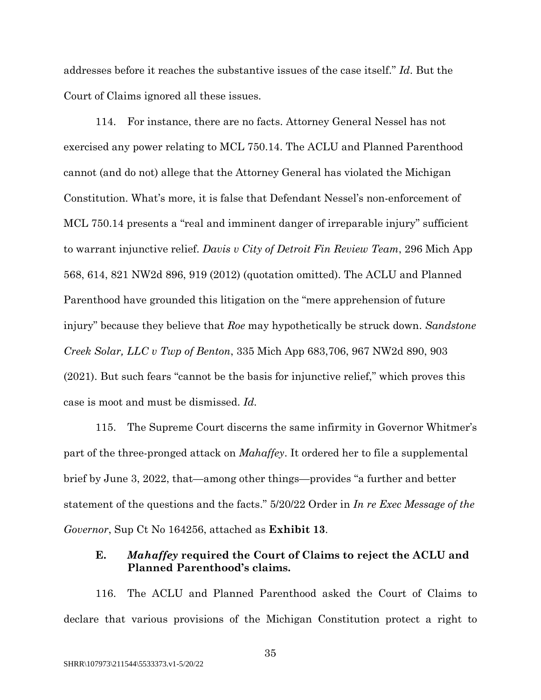addresses before it reaches the substantive issues of the case itself." *Id*. But the Court of Claims ignored all these issues.

114. For instance, there are no facts. Attorney General Nessel has not exercised any power relating to MCL 750.14. The ACLU and Planned Parenthood cannot (and do not) allege that the Attorney General has violated the Michigan Constitution. What's more, it is false that Defendant Nessel's non-enforcement of MCL 750.14 presents a "real and imminent danger of irreparable injury" sufficient to warrant injunctive relief. *Davis v City of Detroit Fin Review Team*, 296 Mich App 568, 614, 821 NW2d 896, 919 (2012) (quotation omitted). The ACLU and Planned Parenthood have grounded this litigation on the "mere apprehension of future injury" because they believe that *Roe* may hypothetically be struck down. *Sandstone Creek Solar, LLC v Twp of Benton*, 335 Mich App 683,706, 967 NW2d 890, 903 (2021). But such fears "cannot be the basis for injunctive relief," which proves this case is moot and must be dismissed. *Id.*

115. The Supreme Court discerns the same infirmity in Governor Whitmer's part of the three-pronged attack on *Mahaffey*. It ordered her to file a supplemental brief by June 3, 2022, that—among other things—provides "a further and better statement of the questions and the facts." 5/20/22 Order in *In re Exec Message of the Governor*, Sup Ct No 164256, attached as **Exhibit 13**.

# **E.** *Mahaffey* **required the Court of Claims to reject the ACLU and Planned Parenthood's claims.**

116. The ACLU and Planned Parenthood asked the Court of Claims to declare that various provisions of the Michigan Constitution protect a right to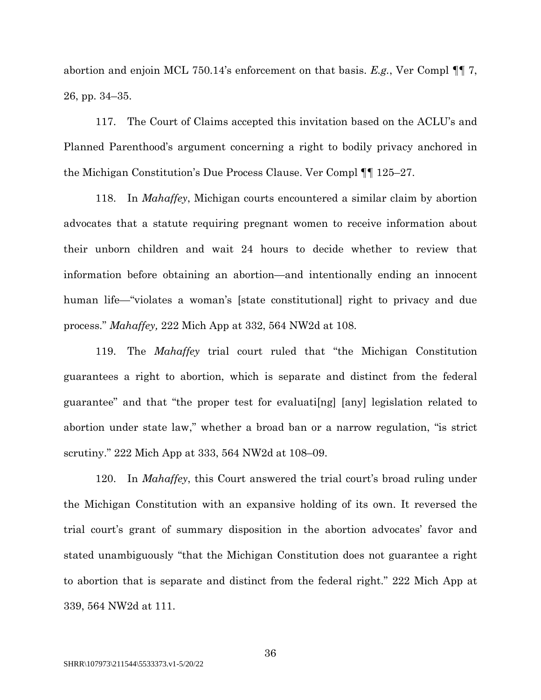abortion and enjoin MCL 750.14's enforcement on that basis. *E.g.*, Ver Compl ¶¶ 7, 26, pp. 34–35.

117. The Court of Claims accepted this invitation based on the ACLU's and Planned Parenthood's argument concerning a right to bodily privacy anchored in the Michigan Constitution's Due Process Clause. Ver Compl ¶¶ 125–27.

118. In *Mahaffey*, Michigan courts encountered a similar claim by abortion advocates that a statute requiring pregnant women to receive information about their unborn children and wait 24 hours to decide whether to review that information before obtaining an abortion—and intentionally ending an innocent human life—"violates a woman's [state constitutional] right to privacy and due process." *Mahaffey,* 222 Mich App at 332, 564 NW2d at 108.

119. The *Mahaffey* trial court ruled that "the Michigan Constitution guarantees a right to abortion, which is separate and distinct from the federal guarantee" and that "the proper test for evaluati[ng] [any] legislation related to abortion under state law," whether a broad ban or a narrow regulation, "is strict scrutiny." 222 Mich App at 333, 564 NW2d at 108–09.

120. In *Mahaffey*, this Court answered the trial court's broad ruling under the Michigan Constitution with an expansive holding of its own. It reversed the trial court's grant of summary disposition in the abortion advocates' favor and stated unambiguously "that the Michigan Constitution does not guarantee a right to abortion that is separate and distinct from the federal right." 222 Mich App at 339, 564 NW2d at 111.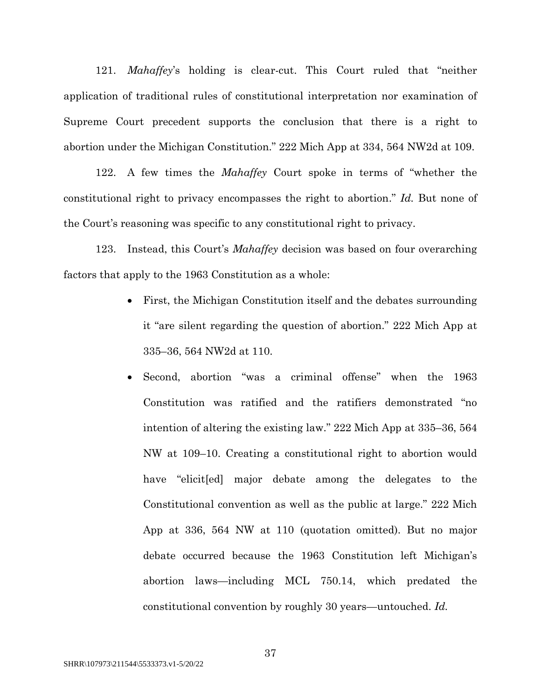121. *Mahaffey*'s holding is clear-cut. This Court ruled that "neither application of traditional rules of constitutional interpretation nor examination of Supreme Court precedent supports the conclusion that there is a right to abortion under the Michigan Constitution." 222 Mich App at 334, 564 NW2d at 109.

122. A few times the *Mahaffey* Court spoke in terms of "whether the constitutional right to privacy encompasses the right to abortion." *Id.* But none of the Court's reasoning was specific to any constitutional right to privacy.

123. Instead, this Court's *Mahaffey* decision was based on four overarching factors that apply to the 1963 Constitution as a whole:

- First, the Michigan Constitution itself and the debates surrounding it "are silent regarding the question of abortion." 222 Mich App at 335–36, 564 NW2d at 110.
- Second, abortion "was a criminal offense" when the 1963 Constitution was ratified and the ratifiers demonstrated "no intention of altering the existing law." 222 Mich App at 335–36, 564 NW at 109–10. Creating a constitutional right to abortion would have "elicited major debate among the delegates to the Constitutional convention as well as the public at large." 222 Mich App at 336, 564 NW at 110 (quotation omitted). But no major debate occurred because the 1963 Constitution left Michigan's abortion laws—including MCL 750.14, which predated the constitutional convention by roughly 30 years—untouched. *Id.*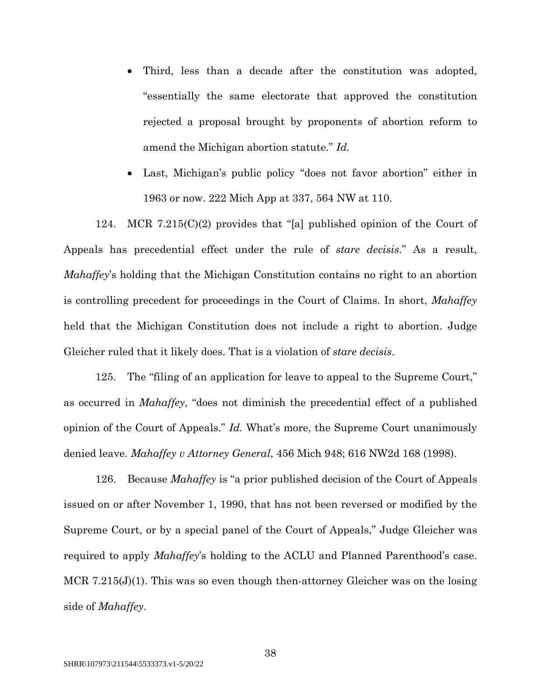- Third, less than a decade after the constitution was adopted, "essentially the same electorate that approved the constitution rejected a proposal brought by proponents of abortion reform to amend the Michigan abortion statute." *Id.*
- Last, Michigan's public policy "does not favor abortion" either in 1963 or now. 222 Mich App at 337, 564 NW at 110.

124. MCR 7.215(C)(2) provides that "[a] published opinion of the Court of Appeals has precedential effect under the rule of *stare decisis*." As a result, *Mahaffey*'s holding that the Michigan Constitution contains no right to an abortion is controlling precedent for proceedings in the Court of Claims. In short, *Mahaffey*  held that the Michigan Constitution does not include a right to abortion. Judge Gleicher ruled that it likely does. That is a violation of *stare decisis*.

125. The "filing of an application for leave to appeal to the Supreme Court," as occurred in *Mahaffey*, "does not diminish the precedential effect of a published opinion of the Court of Appeals." *Id.* What's more, the Supreme Court unanimously denied leave. *Mahaffey v Attorney General*, 456 Mich 948; 616 NW2d 168 (1998).

126. Because *Mahaffey* is "a prior published decision of the Court of Appeals issued on or after November 1, 1990, that has not been reversed or modified by the Supreme Court, or by a special panel of the Court of Appeals," Judge Gleicher was required to apply *Mahaffey*'s holding to the ACLU and Planned Parenthood's case. MCR 7.215(J)(1). This was so even though then-attorney Gleicher was on the losing side of *Mahaffey*.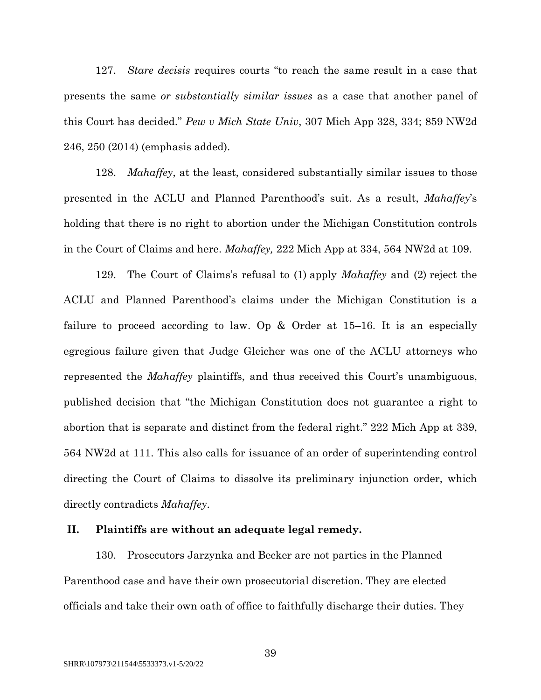127. *Stare decisis* requires courts "to reach the same result in a case that presents the same *or substantially similar issues* as a case that another panel of this Court has decided." *Pew v Mich State Univ*, 307 Mich App 328, 334; 859 NW2d 246, 250 (2014) (emphasis added).

128. *Mahaffey*, at the least, considered substantially similar issues to those presented in the ACLU and Planned Parenthood's suit. As a result, *Mahaffey*'s holding that there is no right to abortion under the Michigan Constitution controls in the Court of Claims and here. *Mahaffey,* 222 Mich App at 334, 564 NW2d at 109.

129. The Court of Claims's refusal to (1) apply *Mahaffey* and (2) reject the ACLU and Planned Parenthood's claims under the Michigan Constitution is a failure to proceed according to law. Op  $\&$  Order at 15–16. It is an especially egregious failure given that Judge Gleicher was one of the ACLU attorneys who represented the *Mahaffey* plaintiffs, and thus received this Court's unambiguous, published decision that "the Michigan Constitution does not guarantee a right to abortion that is separate and distinct from the federal right." 222 Mich App at 339, 564 NW2d at 111. This also calls for issuance of an order of superintending control directing the Court of Claims to dissolve its preliminary injunction order, which directly contradicts *Mahaffey*.

#### **II. Plaintiffs are without an adequate legal remedy.**

130. Prosecutors Jarzynka and Becker are not parties in the Planned Parenthood case and have their own prosecutorial discretion. They are elected officials and take their own oath of office to faithfully discharge their duties. They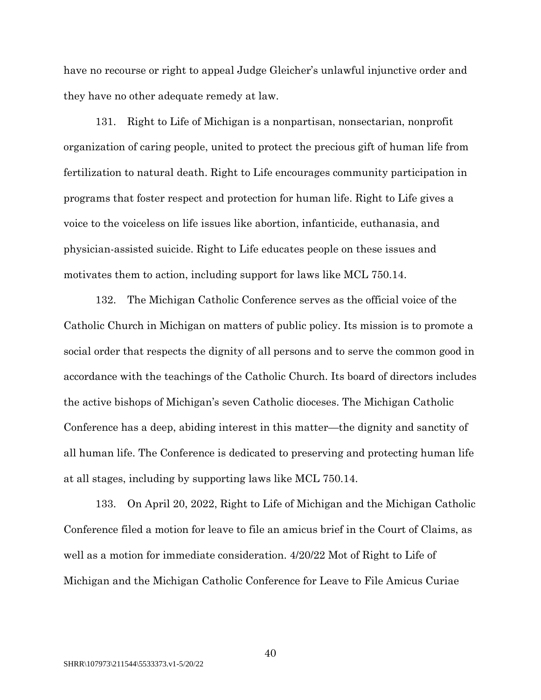have no recourse or right to appeal Judge Gleicher's unlawful injunctive order and they have no other adequate remedy at law.

131. Right to Life of Michigan is a nonpartisan, nonsectarian, nonprofit organization of caring people, united to protect the precious gift of human life from fertilization to natural death. Right to Life encourages community participation in programs that foster respect and protection for human life. Right to Life gives a voice to the voiceless on life issues like abortion, infanticide, euthanasia, and physician-assisted suicide. Right to Life educates people on these issues and motivates them to action, including support for laws like MCL 750.14.

132. The Michigan Catholic Conference serves as the official voice of the Catholic Church in Michigan on matters of public policy. Its mission is to promote a social order that respects the dignity of all persons and to serve the common good in accordance with the teachings of the Catholic Church. Its board of directors includes the active bishops of Michigan's seven Catholic dioceses. The Michigan Catholic Conference has a deep, abiding interest in this matter—the dignity and sanctity of all human life. The Conference is dedicated to preserving and protecting human life at all stages, including by supporting laws like MCL 750.14.

133. On April 20, 2022, Right to Life of Michigan and the Michigan Catholic Conference filed a motion for leave to file an amicus brief in the Court of Claims, as well as a motion for immediate consideration. 4/20/22 Mot of Right to Life of Michigan and the Michigan Catholic Conference for Leave to File Amicus Curiae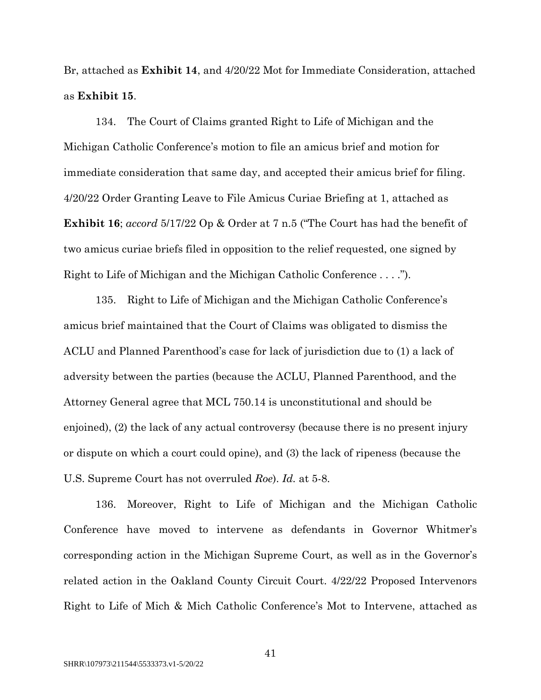Br, attached as **Exhibit 14**, and 4/20/22 Mot for Immediate Consideration, attached as **Exhibit 15**.

134. The Court of Claims granted Right to Life of Michigan and the Michigan Catholic Conference's motion to file an amicus brief and motion for immediate consideration that same day, and accepted their amicus brief for filing. 4/20/22 Order Granting Leave to File Amicus Curiae Briefing at 1, attached as **Exhibit 16**; *accord* 5/17/22 Op & Order at 7 n.5 ("The Court has had the benefit of two amicus curiae briefs filed in opposition to the relief requested, one signed by Right to Life of Michigan and the Michigan Catholic Conference . . . .").

135. Right to Life of Michigan and the Michigan Catholic Conference's amicus brief maintained that the Court of Claims was obligated to dismiss the ACLU and Planned Parenthood's case for lack of jurisdiction due to (1) a lack of adversity between the parties (because the ACLU, Planned Parenthood, and the Attorney General agree that MCL 750.14 is unconstitutional and should be enjoined), (2) the lack of any actual controversy (because there is no present injury or dispute on which a court could opine), and (3) the lack of ripeness (because the U.S. Supreme Court has not overruled *Roe*). *Id.* at 5-8.

136. Moreover, Right to Life of Michigan and the Michigan Catholic Conference have moved to intervene as defendants in Governor Whitmer's corresponding action in the Michigan Supreme Court, as well as in the Governor's related action in the Oakland County Circuit Court. 4/22/22 Proposed Intervenors Right to Life of Mich & Mich Catholic Conference's Mot to Intervene, attached as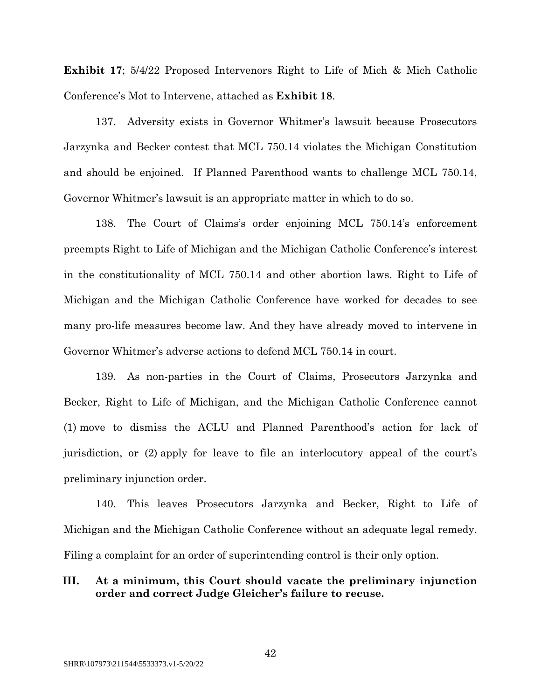**Exhibit 17**; 5/4/22 Proposed Intervenors Right to Life of Mich & Mich Catholic Conference's Mot to Intervene, attached as **Exhibit 18**.

137. Adversity exists in Governor Whitmer's lawsuit because Prosecutors Jarzynka and Becker contest that MCL 750.14 violates the Michigan Constitution and should be enjoined. If Planned Parenthood wants to challenge MCL 750.14, Governor Whitmer's lawsuit is an appropriate matter in which to do so.

138. The Court of Claims's order enjoining MCL 750.14's enforcement preempts Right to Life of Michigan and the Michigan Catholic Conference's interest in the constitutionality of MCL 750.14 and other abortion laws. Right to Life of Michigan and the Michigan Catholic Conference have worked for decades to see many pro-life measures become law. And they have already moved to intervene in Governor Whitmer's adverse actions to defend MCL 750.14 in court.

139. As non-parties in the Court of Claims, Prosecutors Jarzynka and Becker, Right to Life of Michigan, and the Michigan Catholic Conference cannot (1) move to dismiss the ACLU and Planned Parenthood's action for lack of jurisdiction, or (2) apply for leave to file an interlocutory appeal of the court's preliminary injunction order.

140. This leaves Prosecutors Jarzynka and Becker, Right to Life of Michigan and the Michigan Catholic Conference without an adequate legal remedy. Filing a complaint for an order of superintending control is their only option.

# **III. At a minimum, this Court should vacate the preliminary injunction order and correct Judge Gleicher's failure to recuse.**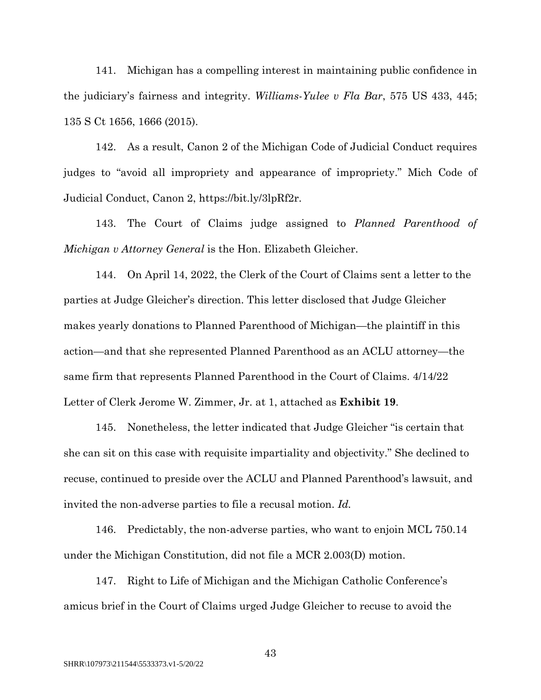141. Michigan has a compelling interest in maintaining public confidence in the judiciary's fairness and integrity. *Williams-Yulee v Fla Bar*, 575 US 433, 445; 135 S Ct 1656, 1666 (2015).

142. As a result, Canon 2 of the Michigan Code of Judicial Conduct requires judges to "avoid all impropriety and appearance of impropriety." Mich Code of Judicial Conduct, Canon 2, https://bit.ly/3lpRf2r.

143. The Court of Claims judge assigned to *Planned Parenthood of Michigan v Attorney General* is the Hon. Elizabeth Gleicher.

144. On April 14, 2022, the Clerk of the Court of Claims sent a letter to the parties at Judge Gleicher's direction. This letter disclosed that Judge Gleicher makes yearly donations to Planned Parenthood of Michigan—the plaintiff in this action—and that she represented Planned Parenthood as an ACLU attorney—the same firm that represents Planned Parenthood in the Court of Claims. 4/14/22 Letter of Clerk Jerome W. Zimmer, Jr. at 1, attached as **Exhibit 19**.

145. Nonetheless, the letter indicated that Judge Gleicher "is certain that she can sit on this case with requisite impartiality and objectivity." She declined to recuse, continued to preside over the ACLU and Planned Parenthood's lawsuit, and invited the non-adverse parties to file a recusal motion. *Id.*

146. Predictably, the non-adverse parties, who want to enjoin MCL 750.14 under the Michigan Constitution, did not file a MCR 2.003(D) motion.

147. Right to Life of Michigan and the Michigan Catholic Conference's amicus brief in the Court of Claims urged Judge Gleicher to recuse to avoid the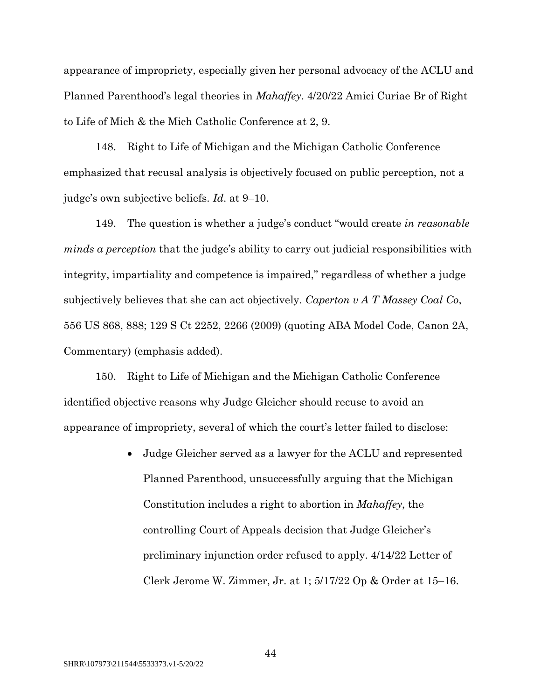appearance of impropriety, especially given her personal advocacy of the ACLU and Planned Parenthood's legal theories in *Mahaffey*. 4/20/22 Amici Curiae Br of Right to Life of Mich & the Mich Catholic Conference at 2, 9.

148. Right to Life of Michigan and the Michigan Catholic Conference emphasized that recusal analysis is objectively focused on public perception, not a judge's own subjective beliefs. *Id*. at 9–10.

149. The question is whether a judge's conduct "would create *in reasonable minds a perception* that the judge's ability to carry out judicial responsibilities with integrity, impartiality and competence is impaired," regardless of whether a judge subjectively believes that she can act objectively. *Caperton v A T Massey Coal Co*, 556 US 868, 888; 129 S Ct 2252, 2266 (2009) (quoting ABA Model Code, Canon 2A, Commentary) (emphasis added).

150. Right to Life of Michigan and the Michigan Catholic Conference identified objective reasons why Judge Gleicher should recuse to avoid an appearance of impropriety, several of which the court's letter failed to disclose:

> • Judge Gleicher served as a lawyer for the ACLU and represented Planned Parenthood, unsuccessfully arguing that the Michigan Constitution includes a right to abortion in *Mahaffey*, the controlling Court of Appeals decision that Judge Gleicher's preliminary injunction order refused to apply. 4/14/22 Letter of Clerk Jerome W. Zimmer, Jr. at 1; 5/17/22 Op & Order at 15–16.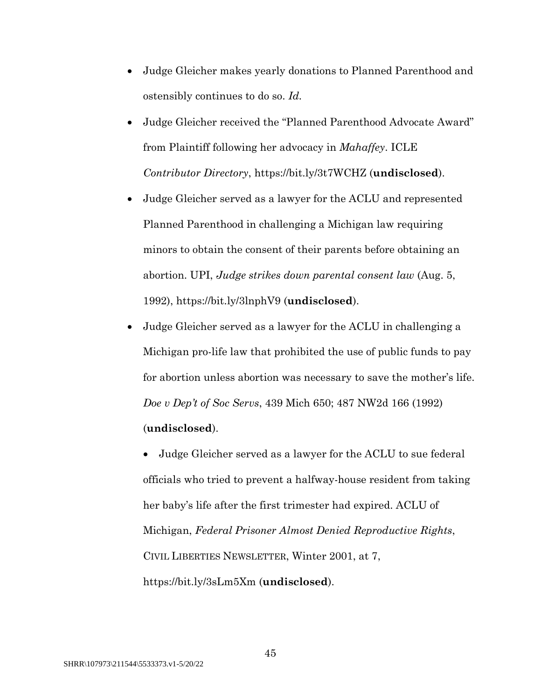- Judge Gleicher makes yearly donations to Planned Parenthood and ostensibly continues to do so. *Id.*
- Judge Gleicher received the "Planned Parenthood Advocate Award" from Plaintiff following her advocacy in *Mahaffey*. ICLE *Contributor Directory*, https://bit.ly/3t7WCHZ (**undisclosed**).
- Judge Gleicher served as a lawyer for the ACLU and represented Planned Parenthood in challenging a Michigan law requiring minors to obtain the consent of their parents before obtaining an abortion. UPI, *Judge strikes down parental consent law* (Aug. 5, 1992), https://bit.ly/3lnphV9 (**undisclosed**).
- Judge Gleicher served as a lawyer for the ACLU in challenging a Michigan pro-life law that prohibited the use of public funds to pay for abortion unless abortion was necessary to save the mother's life. *Doe v Dep't of Soc Servs*, 439 Mich 650; 487 NW2d 166 (1992)

# (**undisclosed**).

• Judge Gleicher served as a lawyer for the ACLU to sue federal officials who tried to prevent a halfway-house resident from taking her baby's life after the first trimester had expired. ACLU of Michigan, *Federal Prisoner Almost Denied Reproductive Rights*, CIVIL LIBERTIES NEWSLETTER, Winter 2001, at 7, https://bit.ly/3sLm5Xm (**undisclosed**).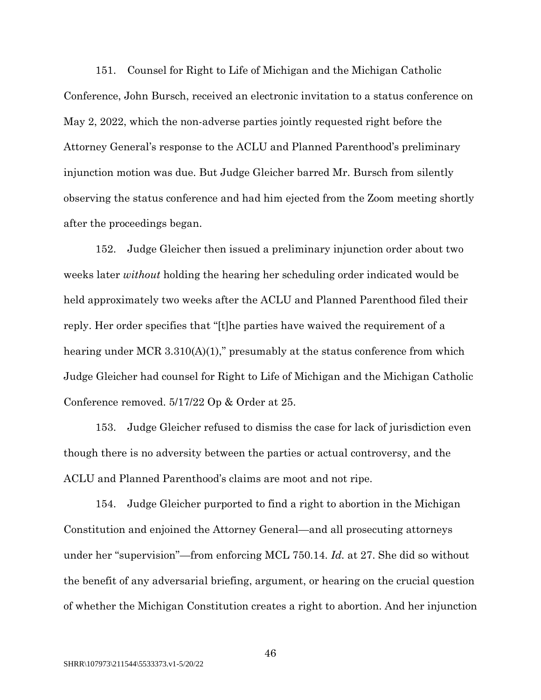151. Counsel for Right to Life of Michigan and the Michigan Catholic Conference, John Bursch, received an electronic invitation to a status conference on May 2, 2022, which the non-adverse parties jointly requested right before the Attorney General's response to the ACLU and Planned Parenthood's preliminary injunction motion was due. But Judge Gleicher barred Mr. Bursch from silently observing the status conference and had him ejected from the Zoom meeting shortly after the proceedings began.

152. Judge Gleicher then issued a preliminary injunction order about two weeks later *without* holding the hearing her scheduling order indicated would be held approximately two weeks after the ACLU and Planned Parenthood filed their reply. Her order specifies that "[t]he parties have waived the requirement of a hearing under MCR 3.310(A)(1)," presumably at the status conference from which Judge Gleicher had counsel for Right to Life of Michigan and the Michigan Catholic Conference removed. 5/17/22 Op & Order at 25.

153. Judge Gleicher refused to dismiss the case for lack of jurisdiction even though there is no adversity between the parties or actual controversy, and the ACLU and Planned Parenthood's claims are moot and not ripe.

154. Judge Gleicher purported to find a right to abortion in the Michigan Constitution and enjoined the Attorney General—and all prosecuting attorneys under her "supervision"—from enforcing MCL 750.14. *Id.* at 27. She did so without the benefit of any adversarial briefing, argument, or hearing on the crucial question of whether the Michigan Constitution creates a right to abortion. And her injunction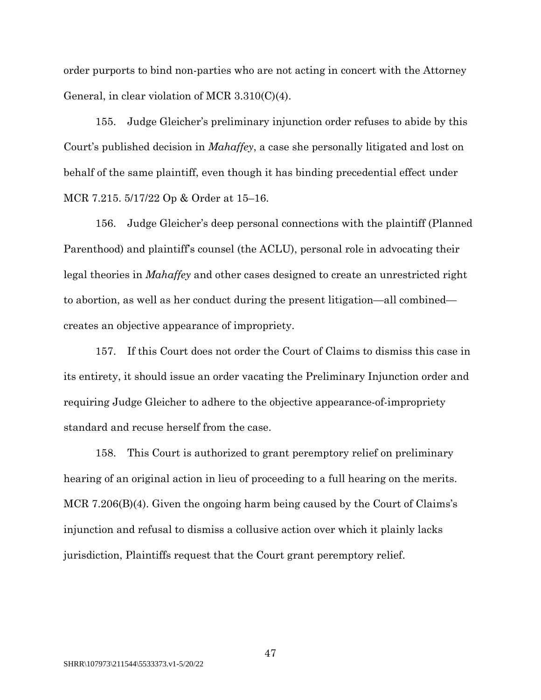order purports to bind non-parties who are not acting in concert with the Attorney General, in clear violation of MCR 3.310(C)(4).

155. Judge Gleicher's preliminary injunction order refuses to abide by this Court's published decision in *Mahaffey*, a case she personally litigated and lost on behalf of the same plaintiff, even though it has binding precedential effect under MCR 7.215. 5/17/22 Op & Order at 15–16.

156. Judge Gleicher's deep personal connections with the plaintiff (Planned Parenthood) and plaintiff's counsel (the ACLU), personal role in advocating their legal theories in *Mahaffey* and other cases designed to create an unrestricted right to abortion, as well as her conduct during the present litigation—all combined creates an objective appearance of impropriety.

157. If this Court does not order the Court of Claims to dismiss this case in its entirety, it should issue an order vacating the Preliminary Injunction order and requiring Judge Gleicher to adhere to the objective appearance-of-impropriety standard and recuse herself from the case.

158. This Court is authorized to grant peremptory relief on preliminary hearing of an original action in lieu of proceeding to a full hearing on the merits. MCR 7.206(B)(4). Given the ongoing harm being caused by the Court of Claims's injunction and refusal to dismiss a collusive action over which it plainly lacks jurisdiction, Plaintiffs request that the Court grant peremptory relief.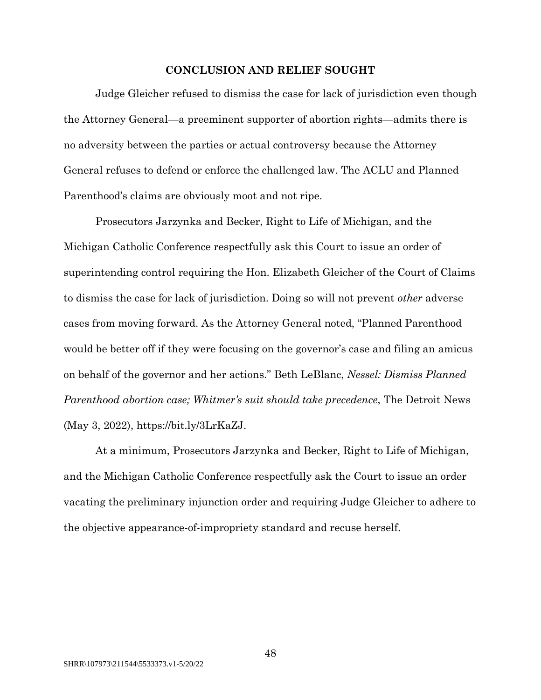#### **CONCLUSION AND RELIEF SOUGHT**

Judge Gleicher refused to dismiss the case for lack of jurisdiction even though the Attorney General—a preeminent supporter of abortion rights—admits there is no adversity between the parties or actual controversy because the Attorney General refuses to defend or enforce the challenged law. The ACLU and Planned Parenthood's claims are obviously moot and not ripe.

Prosecutors Jarzynka and Becker, Right to Life of Michigan, and the Michigan Catholic Conference respectfully ask this Court to issue an order of superintending control requiring the Hon. Elizabeth Gleicher of the Court of Claims to dismiss the case for lack of jurisdiction. Doing so will not prevent *other* adverse cases from moving forward. As the Attorney General noted, "Planned Parenthood would be better off if they were focusing on the governor's case and filing an amicus on behalf of the governor and her actions." Beth LeBlanc, *Nessel: Dismiss Planned Parenthood abortion case; Whitmer's suit should take precedence*, The Detroit News (May 3, 2022), https://bit.ly/3LrKaZJ.

At a minimum, Prosecutors Jarzynka and Becker, Right to Life of Michigan, and the Michigan Catholic Conference respectfully ask the Court to issue an order vacating the preliminary injunction order and requiring Judge Gleicher to adhere to the objective appearance-of-impropriety standard and recuse herself.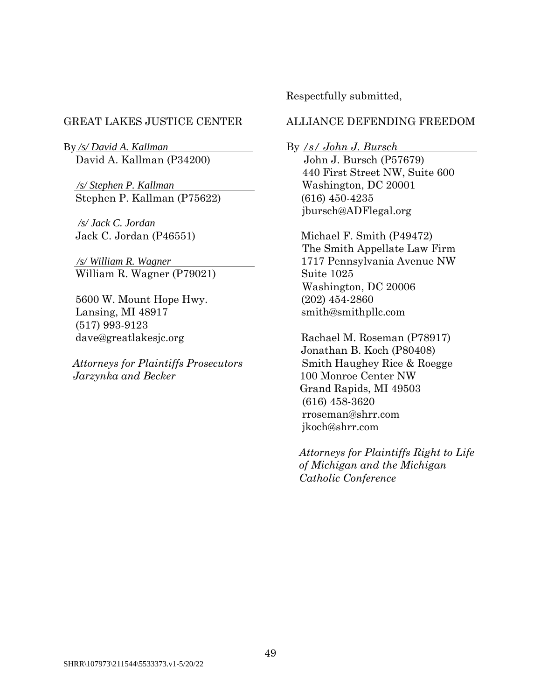By */s/ David A. Kallman* By */s/ John J. Bursch* David A. Kallman (P34200) John J. Bursch (P57679)

 */s/ Stephen P. Kallman* Washington, DC 20001 Stephen P. Kallman (P75622) (616) 450-4235

*/s/ Jack C. Jordan* 

William R. Wagner (P79021) Suite 1025

 5600 W. Mount Hope Hwy. (202) 454-2860 Lansing, MI 48917 smith@smithpllc.com (517) 993-9123

 *Attorneys for Plaintiffs Prosecutors* Smith Haughey Rice & Roegge *Jarzynka and Becker* 100 Monroe Center NW

Respectfully submitted,

## GREAT LAKES JUSTICE CENTER ALLIANCE DEFENDING FREEDOM

440 First Street NW, Suite 600 jbursch@ADFlegal.org

 Jack C. Jordan (P46551) Michael F. Smith (P49472) The Smith Appellate Law Firm */s/ William R. Wagner* 1717 Pennsylvania Avenue NW Washington, DC 20006

dave@greatlakesjc.org Rachael M. Roseman (P78917) Jonathan B. Koch (P80408) Grand Rapids, MI 49503 (616) 458-3620 rroseman@shrr.com jkoch@shrr.com

> *Attorneys for Plaintiffs Right to Life of Michigan and the Michigan Catholic Conference*